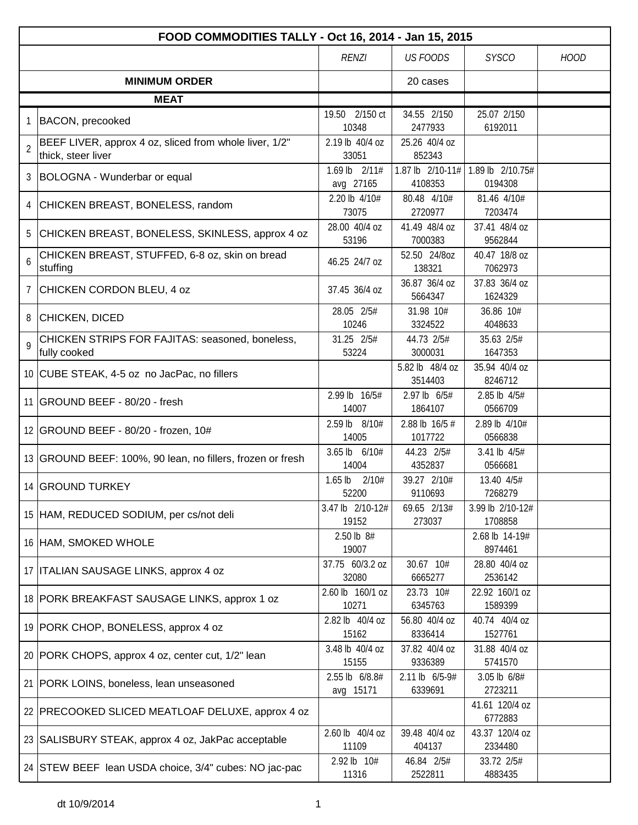| FOOD COMMODITIES TALLY - Oct 16, 2014 - Jan 15, 2015                           |  |                             |                             |                             |             |  |  |
|--------------------------------------------------------------------------------|--|-----------------------------|-----------------------------|-----------------------------|-------------|--|--|
|                                                                                |  | <b>RENZI</b>                | <b>US FOODS</b>             | <b>SYSCO</b>                | <b>HOOD</b> |  |  |
| <b>MINIMUM ORDER</b>                                                           |  |                             | 20 cases                    |                             |             |  |  |
| <b>MEAT</b>                                                                    |  |                             |                             |                             |             |  |  |
| <b>BACON, precooked</b>                                                        |  | 19.50 2/150 ct              | 34.55 2/150<br>2477933      | 25.07 2/150                 |             |  |  |
| BEEF LIVER, approx 4 oz, sliced from whole liver, 1/2"                         |  | 10348<br>2.19 lb 40/4 oz    | 25.26 40/4 oz               | 6192011                     |             |  |  |
| $\overline{2}$<br>thick, steer liver                                           |  | 33051                       | 852343                      |                             |             |  |  |
| 3 BOLOGNA - Wunderbar or equal                                                 |  | 1.69 lb 2/11#<br>avg 27165  | 1.87 lb 2/10-11#<br>4108353 | 1.89 lb 2/10.75#<br>0194308 |             |  |  |
| CHICKEN BREAST, BONELESS, random<br>4                                          |  | 2.20 lb 4/10#<br>73075      | 80.48 4/10#<br>2720977      | 81.46 4/10#<br>7203474      |             |  |  |
| 5<br>CHICKEN BREAST, BONELESS, SKINLESS, approx 4 oz                           |  | 28.00 40/4 oz<br>53196      | 41.49 48/4 oz<br>7000383    | 37.41 48/4 oz<br>9562844    |             |  |  |
| CHICKEN BREAST, STUFFED, 6-8 oz, skin on bread<br>6<br>stuffing                |  | 46.25 24/7 oz               | 52.50 24/8oz<br>138321      | 40.47 18/8 oz<br>7062973    |             |  |  |
| $\overline{7}$<br>CHICKEN CORDON BLEU, 4 oz                                    |  | 37.45 36/4 oz               | 36.87 36/4 oz<br>5664347    | 37.83 36/4 oz<br>1624329    |             |  |  |
| 8<br><b>CHICKEN, DICED</b>                                                     |  | 28.05 2/5#<br>10246         | 31.98 10#<br>3324522        | 36.86 10#<br>4048633        |             |  |  |
| CHICKEN STRIPS FOR FAJITAS: seasoned, boneless,<br>$\mathsf Q$<br>fully cooked |  | 31.25 2/5#<br>53224         | 44.73 2/5#<br>3000031       | 35.63 2/5#<br>1647353       |             |  |  |
| 10 CUBE STEAK, 4-5 oz no JacPac, no fillers                                    |  |                             | 5.82 lb 48/4 oz<br>3514403  | 35.94 40/4 oz<br>8246712    |             |  |  |
| 11   GROUND BEEF - 80/20 - fresh                                               |  | 2.99 lb 16/5#<br>14007      | 2.97 lb 6/5#<br>1864107     | 2.85 lb 4/5#<br>0566709     |             |  |  |
| 12 GROUND BEEF - 80/20 - frozen, 10#                                           |  | 2.59 lb 8/10#<br>14005      | 2.88 lb 16/5 #<br>1017722   | 2.89 lb 4/10#<br>0566838    |             |  |  |
| 13 GROUND BEEF: 100%, 90 lean, no fillers, frozen or fresh                     |  | 3.65 lb 6/10#<br>14004      | 44.23 2/5#<br>4352837       | 3.41 lb 4/5#<br>0566681     |             |  |  |
| 14 GROUND TURKEY                                                               |  | $1.65$ lb<br>2/10#<br>52200 | 39.27 2/10#<br>9110693      | 13.40 4/5#<br>7268279       |             |  |  |
| 15 HAM, REDUCED SODIUM, per cs/not deli                                        |  | 3.47 lb 2/10-12#<br>19152   | 69.65 2/13#<br>273037       | 3.99 lb 2/10-12#<br>1708858 |             |  |  |
| 16 HAM, SMOKED WHOLE                                                           |  | 2.50 lb 8#<br>19007         |                             | 2.68 lb 14-19#<br>8974461   |             |  |  |
| 17   ITALIAN SAUSAGE LINKS, approx 4 oz                                        |  | 37.75 60/3.2 oz<br>32080    | 30.67 10#<br>6665277        | 28.80 40/4 oz<br>2536142    |             |  |  |
| 18 PORK BREAKFAST SAUSAGE LINKS, approx 1 oz                                   |  | 2.60 lb 160/1 oz<br>10271   | 23.73 10#<br>6345763        | 22.92 160/1 oz<br>1589399   |             |  |  |
| 19 PORK CHOP, BONELESS, approx 4 oz                                            |  | 2.82 lb 40/4 oz<br>15162    | 56.80 40/4 oz<br>8336414    | 40.74 40/4 oz<br>1527761    |             |  |  |
| 20 PORK CHOPS, approx 4 oz, center cut, 1/2" lean                              |  | 3.48 lb 40/4 oz<br>15155    | 37.82 40/4 oz<br>9336389    | 31.88 40/4 oz<br>5741570    |             |  |  |
| 21   PORK LOINS, boneless, lean unseasoned                                     |  | 2.55 lb 6/8.8#<br>avg 15171 | 2.11 lb 6/5-9#<br>6339691   | 3.05 lb 6/8#<br>2723211     |             |  |  |
| 22   PRECOOKED SLICED MEATLOAF DELUXE, approx 4 oz                             |  |                             |                             | 41.61 120/4 oz<br>6772883   |             |  |  |
| 23 SALISBURY STEAK, approx 4 oz, JakPac acceptable                             |  | 2.60 lb 40/4 oz<br>11109    | 39.48 40/4 oz<br>404137     | 43.37 120/4 oz<br>2334480   |             |  |  |
| 24 STEW BEEF lean USDA choice, 3/4" cubes: NO jac-pac                          |  | 2.92 lb 10#<br>11316        | 46.84 2/5#<br>2522811       | 33.72 2/5#<br>4883435       |             |  |  |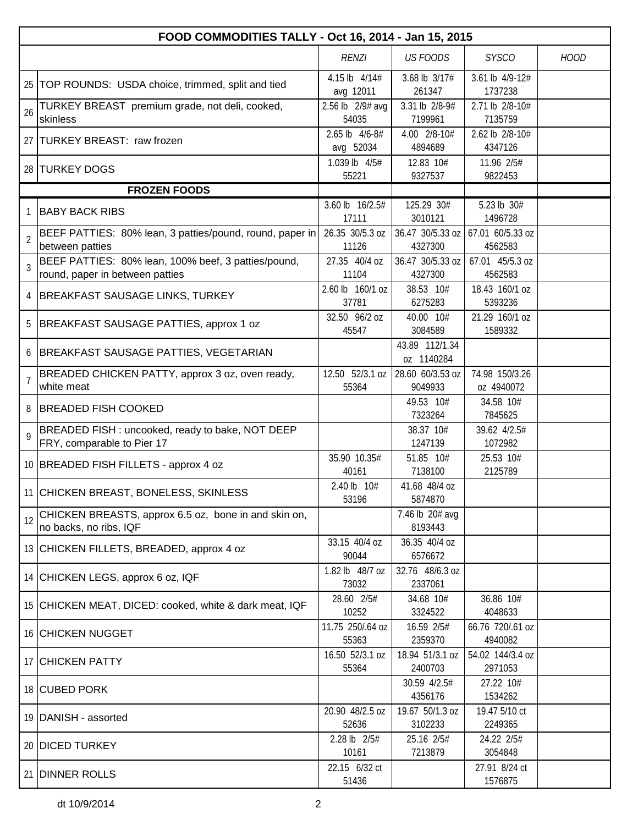|                | FOOD COMMODITIES TALLY - Oct 16, 2014 - Jan 15, 2015                                   |                             |                              |                              |             |  |  |  |
|----------------|----------------------------------------------------------------------------------------|-----------------------------|------------------------------|------------------------------|-------------|--|--|--|
|                |                                                                                        | <b>RENZI</b>                | <b>US FOODS</b>              | <b>SYSCO</b>                 | <b>HOOD</b> |  |  |  |
|                | 25   TOP ROUNDS: USDA choice, trimmed, split and tied                                  | 4.15 lb 4/14#<br>avg 12011  | 3.68 lb 3/17#<br>261347      | 3.61 lb 4/9-12#<br>1737238   |             |  |  |  |
| 26             | TURKEY BREAST premium grade, not deli, cooked,<br>skinless                             | 2.56 lb 2/9# avg<br>54035   | 3.31 lb 2/8-9#<br>7199961    | 2.71 lb 2/8-10#<br>7135759   |             |  |  |  |
|                | 27 TURKEY BREAST: raw frozen                                                           | 2.65 lb 4/6-8#<br>avg 52034 | 4.00 2/8-10#<br>4894689      | 2.62 lb 2/8-10#<br>4347126   |             |  |  |  |
|                | 28 TURKEY DOGS                                                                         | 1.039 lb 4/5#<br>55221      | 12.83 10#<br>9327537         | 11.96 2/5#<br>9822453        |             |  |  |  |
|                | <b>FROZEN FOODS</b>                                                                    |                             |                              |                              |             |  |  |  |
| 1              | <b>BABY BACK RIBS</b>                                                                  | 3.60 lb 16/2.5#<br>17111    | 125.29 30#<br>3010121        | 5.23 lb 30#<br>1496728       |             |  |  |  |
| $\overline{2}$ | BEEF PATTIES: 80% lean, 3 patties/pound, round, paper in<br>between patties            | 26.35 30/5.3 oz<br>11126    | 36.47 30/5.33 oz<br>4327300  | 67.01 60/5.33 oz<br>4562583  |             |  |  |  |
| 3              | BEEF PATTIES: 80% lean, 100% beef, 3 patties/pound,<br>round, paper in between patties | 27.35 40/4 oz<br>11104      | 36.47 30/5.33 oz<br>4327300  | 67.01 45/5.3 oz<br>4562583   |             |  |  |  |
| 4              | <b>BREAKFAST SAUSAGE LINKS, TURKEY</b>                                                 | 2.60 lb 160/1 oz<br>37781   | 38.53 10#<br>6275283         | 18.43 160/1 oz<br>5393236    |             |  |  |  |
| 5              | BREAKFAST SAUSAGE PATTIES, approx 1 oz                                                 | 32.50 96/2 oz<br>45547      | 40.00 10#<br>3084589         | 21.29 160/1 oz<br>1589332    |             |  |  |  |
| 6              | BREAKFAST SAUSAGE PATTIES, VEGETARIAN                                                  |                             | 43.89 112/1.34<br>oz 1140284 |                              |             |  |  |  |
| $\overline{7}$ | BREADED CHICKEN PATTY, approx 3 oz, oven ready,<br>white meat                          | 12.50 52/3.1 oz<br>55364    | 28.60 60/3.53 oz<br>9049933  | 74.98 150/3.26<br>oz 4940072 |             |  |  |  |
| 8              | <b>BREADED FISH COOKED</b>                                                             |                             | 49.53 10#<br>7323264         | 34.58 10#<br>7845625         |             |  |  |  |
| $\mathsf{Q}$   | BREADED FISH : uncooked, ready to bake, NOT DEEP<br>FRY, comparable to Pier 17         |                             | 38.37 10#<br>1247139         | 39.62 4/2.5#<br>1072982      |             |  |  |  |
|                | 10 BREADED FISH FILLETS - approx 4 oz                                                  | 35.90 10.35#<br>40161       | 51.85 10#<br>7138100         | 25.53 10#<br>2125789         |             |  |  |  |
|                | 11 CHICKEN BREAST, BONELESS, SKINLESS                                                  | 2.40 lb 10#<br>53196        | 41.68 48/4 oz<br>5874870     |                              |             |  |  |  |
| 12             | CHICKEN BREASTS, approx 6.5 oz, bone in and skin on,<br>no backs, no ribs, IQF         |                             | 7.46 lb 20# avg<br>8193443   |                              |             |  |  |  |
|                | 13 CHICKEN FILLETS, BREADED, approx 4 oz                                               | 33.15 40/4 oz<br>90044      | 36.35 40/4 oz<br>6576672     |                              |             |  |  |  |
|                | 14 CHICKEN LEGS, approx 6 oz, IQF                                                      | 1.82 lb 48/7 oz<br>73032    | 32.76 48/6.3 oz<br>2337061   |                              |             |  |  |  |
|                | 15 CHICKEN MEAT, DICED: cooked, white & dark meat, IQF                                 | 28.60 2/5#<br>10252         | 34.68 10#<br>3324522         | 36.86 10#<br>4048633         |             |  |  |  |
|                | 16 CHICKEN NUGGET                                                                      | 11.75 250/.64 oz<br>55363   | 16.59 2/5#<br>2359370        | 66.76 720/.61 oz<br>4940082  |             |  |  |  |
|                | 17 CHICKEN PATTY                                                                       | 16.50 52/3.1 oz<br>55364    | 18.94 51/3.1 oz<br>2400703   | 54.02 144/3.4 oz<br>2971053  |             |  |  |  |
|                | 18 CUBED PORK                                                                          |                             | 30.59 4/2.5#<br>4356176      | 27.22 10#<br>1534262         |             |  |  |  |
|                | 19 DANISH - assorted                                                                   | 20.90 48/2.5 oz<br>52636    | 19.67 50/1.3 oz<br>3102233   | 19.47 5/10 ct<br>2249365     |             |  |  |  |
|                | 20 DICED TURKEY                                                                        | 2.28 lb 2/5#<br>10161       | 25.16 2/5#<br>7213879        | 24.22 2/5#<br>3054848        |             |  |  |  |
|                | 21 DINNER ROLLS                                                                        | 22.15 6/32 ct<br>51436      |                              | 27.91 8/24 ct<br>1576875     |             |  |  |  |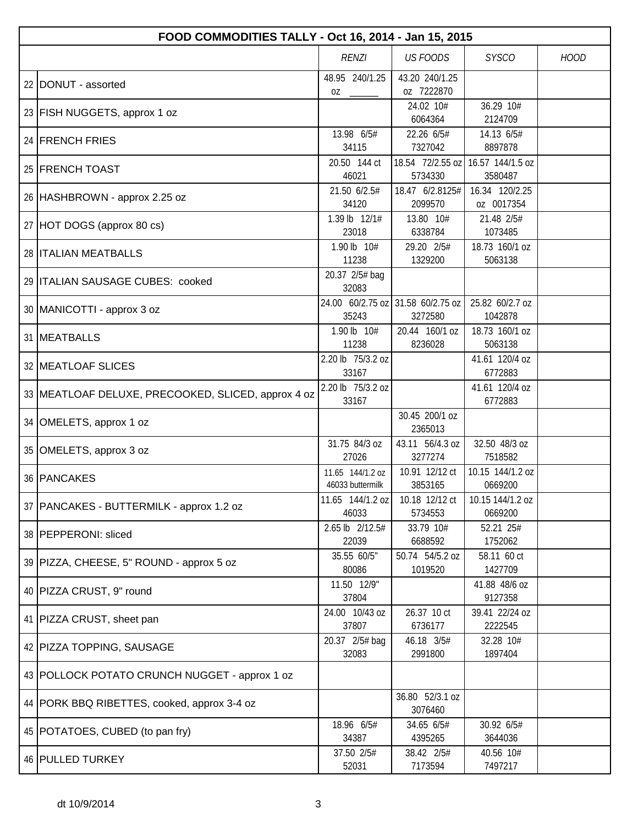| FOOD COMMODITIES TALLY - Oct 16, 2014 - Jan 15, 2015 |                                      |                              |                              |             |  |  |  |
|------------------------------------------------------|--------------------------------------|------------------------------|------------------------------|-------------|--|--|--|
|                                                      | RENZI                                | <b>US FOODS</b>              | <b>SYSCO</b>                 | <b>HOOD</b> |  |  |  |
| 22 DONUT - assorted                                  | 48.95 240/1.25<br>0Z                 | 43.20 240/1.25<br>oz 7222870 |                              |             |  |  |  |
| 23 FISH NUGGETS, approx 1 oz                         |                                      | 24.02 10#<br>6064364         | 36.29 10#<br>2124709         |             |  |  |  |
| 24 FRENCH FRIES                                      | 13.98 6/5#<br>34115                  | 22.26 6/5#<br>7327042        | 14.13 6/5#<br>8897878        |             |  |  |  |
| 25 FRENCH TOAST                                      | 20.50 144 ct<br>46021                | 18.54 72/2.55 oz<br>5734330  | 16.57 144/1.5 oz<br>3580487  |             |  |  |  |
| 26 HASHBROWN - approx 2.25 oz                        | 21.50 6/2.5#<br>34120                | 18.47 6/2.8125#<br>2099570   | 16.34 120/2.25<br>oz 0017354 |             |  |  |  |
| 27 HOT DOGS (approx 80 cs)                           | 1.39 lb 12/1#<br>23018               | 13.80 10#<br>6338784         | 21.48 2/5#<br>1073485        |             |  |  |  |
| 28 <b>ITALIAN MEATBALLS</b>                          | 1.90 lb 10#<br>11238                 | 29.20 2/5#<br>1329200        | 18.73 160/1 oz<br>5063138    |             |  |  |  |
| 29 ITALIAN SAUSAGE CUBES: cooked                     | 20.37 2/5# bag<br>32083              |                              |                              |             |  |  |  |
| 30   MANICOTTI - approx 3 oz                         | 24.00 60/2.75 oz<br>35243            | 31.58 60/2.75 oz<br>3272580  | 25.82 60/2.7 oz<br>1042878   |             |  |  |  |
| 31   MEATBALLS                                       | 1.90 lb 10#<br>11238                 | 20.44 160/1 oz<br>8236028    | 18.73 160/1 oz<br>5063138    |             |  |  |  |
| 32 MEATLOAF SLICES                                   | 2.20 lb 75/3.2 oz<br>33167           |                              | 41.61 120/4 oz<br>6772883    |             |  |  |  |
| 33 MEATLOAF DELUXE, PRECOOKED, SLICED, approx 4 oz   | 2.20 lb 75/3.2 oz<br>33167           |                              | 41.61 120/4 oz<br>6772883    |             |  |  |  |
| 34 OMELETS, approx 1 oz                              |                                      | 30.45 200/1 oz<br>2365013    |                              |             |  |  |  |
| 35 OMELETS, approx 3 oz                              | 31.75 84/3 oz<br>27026               | 43.11 56/4.3 oz<br>3277274   | 32.50 48/3 oz<br>7518582     |             |  |  |  |
| 36 PANCAKES                                          | 11.65 144/1.2 oz<br>46033 buttermilk | 10.91 12/12 ct<br>3853165    | 10.15 144/1.2 oz<br>0669200  |             |  |  |  |
| 37   PANCAKES - BUTTERMILK - approx 1.2 oz           | 11.65 144/1.2 oz<br>46033            | 10.18 12/12 ct<br>5734553    | 10.15 144/1.2 oz<br>0669200  |             |  |  |  |
| 38   PEPPERONI: sliced                               | 2.65 lb 2/12.5#<br>22039             | 33.79 10#<br>6688592         | 52.21 25#<br>1752062         |             |  |  |  |
| 39   PIZZA, CHEESE, 5" ROUND - approx 5 oz           | 35.55 60/5"<br>80086                 | 50.74 54/5.2 oz<br>1019520   | 58.11 60 ct<br>1427709       |             |  |  |  |
| 40 PIZZA CRUST, 9" round                             | 11.50 12/9"<br>37804                 |                              | 41.88 48/6 oz<br>9127358     |             |  |  |  |
| 41 PIZZA CRUST, sheet pan                            | 24.00 10/43 oz<br>37807              | 26.37 10 ct<br>6736177       | 39.41 22/24 oz<br>2222545    |             |  |  |  |
| 42   PIZZA TOPPING, SAUSAGE                          | 20.37 2/5# bag<br>32083              | 46.18 3/5#<br>2991800        | 32.28 10#<br>1897404         |             |  |  |  |
| 43 POLLOCK POTATO CRUNCH NUGGET - approx 1 oz        |                                      |                              |                              |             |  |  |  |
| 44   PORK BBQ RIBETTES, cooked, approx 3-4 oz        |                                      | 36.80 52/3.1 oz<br>3076460   |                              |             |  |  |  |
| 45   POTATOES, CUBED (to pan fry)                    | 18.96 6/5#<br>34387                  | 34.65 6/5#<br>4395265        | 30.92 6/5#<br>3644036        |             |  |  |  |
| 46 PULLED TURKEY                                     | 37.50 2/5#<br>52031                  | 38.42 2/5#<br>7173594        | 40.56 10#<br>7497217         |             |  |  |  |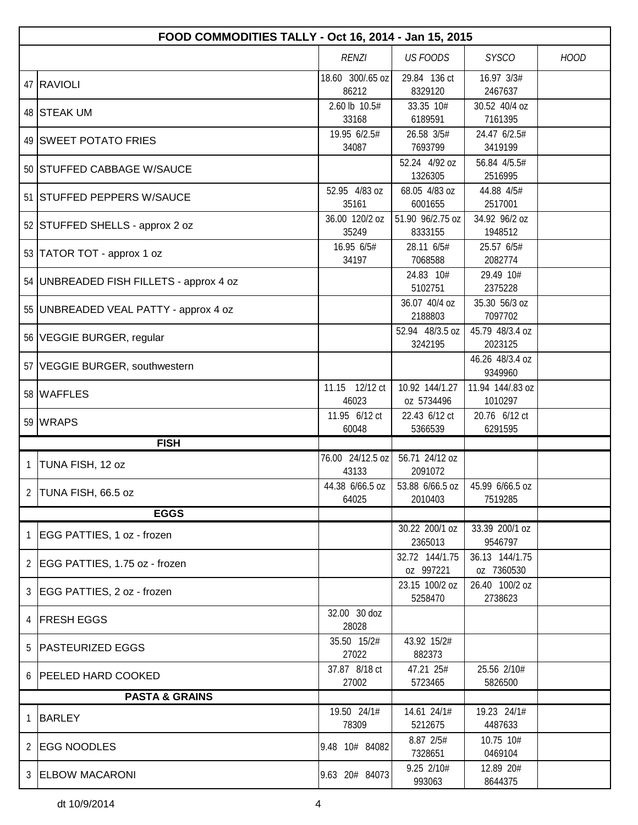|   | FOOD COMMODITIES TALLY - Oct 16, 2014 - Jan 15, 2015 |                           |                              |                              |             |  |  |
|---|------------------------------------------------------|---------------------------|------------------------------|------------------------------|-------------|--|--|
|   |                                                      | <b>RENZI</b>              | <b>US FOODS</b>              | <b>SYSCO</b>                 | <b>HOOD</b> |  |  |
|   | 47 RAVIOLI                                           | 18.60 300/.65 oz<br>86212 | 29.84 136 ct<br>8329120      | 16.97 3/3#<br>2467637        |             |  |  |
|   | 48 STEAK UM                                          | 2.60 lb 10.5#<br>33168    | 33.35 10#<br>6189591         | 30.52 40/4 oz<br>7161395     |             |  |  |
|   | 49 SWEET POTATO FRIES                                | 19.95 6/2.5#<br>34087     | 26.58 3/5#<br>7693799        | 24.47 6/2.5#<br>3419199      |             |  |  |
|   | 50 STUFFED CABBAGE W/SAUCE                           |                           | 52.24 4/92 oz<br>1326305     | 56.84 4/5.5#<br>2516995      |             |  |  |
|   | 51 STUFFED PEPPERS W/SAUCE                           | 52.95 4/83 oz<br>35161    | 68.05 4/83 oz<br>6001655     | 44.88 4/5#<br>2517001        |             |  |  |
|   | 52 STUFFED SHELLS - approx 2 oz                      | 36.00 120/2 oz<br>35249   | 51.90 96/2.75 oz<br>8333155  | 34.92 96/2 oz<br>1948512     |             |  |  |
|   | 53 TATOR TOT - approx 1 oz                           | 16.95 6/5#<br>34197       | 28.11 6/5#<br>7068588        | 25.57 6/5#<br>2082774        |             |  |  |
|   | 54   UNBREADED FISH FILLETS - approx 4 oz            |                           | 24.83 10#<br>5102751         | 29.49 10#<br>2375228         |             |  |  |
|   | 55   UNBREADED VEAL PATTY - approx 4 oz              |                           | 36.07 40/4 oz<br>2188803     | 35.30 56/3 oz<br>7097702     |             |  |  |
|   | 56 VEGGIE BURGER, regular                            |                           | 52.94 48/3.5 oz<br>3242195   | 45.79 48/3.4 oz<br>2023125   |             |  |  |
|   | 57 VEGGIE BURGER, southwestern                       |                           |                              | 46.26 48/3.4 oz<br>9349960   |             |  |  |
|   | 58 WAFFLES                                           | 11.15 12/12 ct<br>46023   | 10.92 144/1.27<br>oz 5734496 | 11.94 144/.83 oz<br>1010297  |             |  |  |
|   | 59 WRAPS                                             | 11.95 6/12 ct<br>60048    | 22.43 6/12 ct<br>5366539     | 20.76 6/12 ct<br>6291595     |             |  |  |
|   | <b>FISH</b>                                          |                           |                              |                              |             |  |  |
| 1 | TUNA FISH, 12 oz                                     | 76.00 24/12.5 oz<br>43133 | 56.71 24/12 oz<br>2091072    |                              |             |  |  |
|   | 2 TUNA FISH, 66.5 oz                                 | 44.38 6/66.5 oz<br>64025  | 53.88 6/66.5 oz<br>2010403   | 45.99 6/66.5 oz<br>7519285   |             |  |  |
|   | <b>EGGS</b>                                          |                           |                              |                              |             |  |  |
| 1 | EGG PATTIES, 1 oz - frozen                           |                           | 30.22 200/1 oz<br>2365013    | 33.39 200/1 oz<br>9546797    |             |  |  |
|   | 2   EGG PATTIES, 1.75 oz - frozen                    |                           | 32.72 144/1.75<br>oz 997221  | 36.13 144/1.75<br>oz 7360530 |             |  |  |
| 3 | EGG PATTIES, 2 oz - frozen                           |                           | 23.15 100/2 oz<br>5258470    | 26.40 100/2 oz<br>2738623    |             |  |  |
| 4 | <b>FRESH EGGS</b>                                    | 32.00 30 doz<br>28028     |                              |                              |             |  |  |
| 5 | <b>PASTEURIZED EGGS</b>                              | 35.50 15/2#<br>27022      | 43.92 15/2#<br>882373        |                              |             |  |  |
| 6 | <b>PEELED HARD COOKED</b>                            | 37.87 8/18 ct<br>27002    | 47.21 25#<br>5723465         | 25.56 2/10#<br>5826500       |             |  |  |
|   | <b>PASTA &amp; GRAINS</b>                            |                           |                              |                              |             |  |  |
| 1 | <b>BARLEY</b>                                        | 19.50 24/1#<br>78309      | 14.61 24/1#<br>5212675       | 19.23 24/1#<br>4487633       |             |  |  |
| 2 | <b>EGG NOODLES</b>                                   | 9.48 10# 84082            | 8.87 2/5#<br>7328651         | 10.75 10#<br>0469104         |             |  |  |
| 3 | <b>ELBOW MACARONI</b>                                | 9.63 20# 84073            | 9.25 2/10#<br>993063         | 12.89 20#<br>8644375         |             |  |  |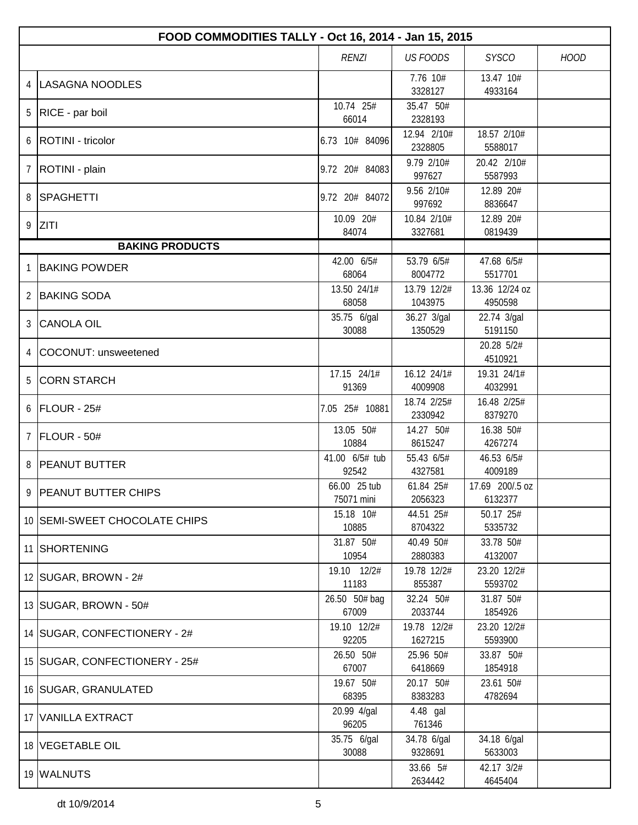|                | FOOD COMMODITIES TALLY - Oct 16, 2014 - Jan 15, 2015 |                            |                                    |                            |             |  |  |
|----------------|------------------------------------------------------|----------------------------|------------------------------------|----------------------------|-------------|--|--|
|                |                                                      | <b>RENZI</b>               | <b>US FOODS</b>                    | <b>SYSCO</b>               | <b>HOOD</b> |  |  |
| 4              | LASAGNA NOODLES                                      |                            | 7.76 10#<br>3328127                | 13.47 10#<br>4933164       |             |  |  |
| 5              | RICE - par boil                                      | 10.74 25#<br>66014         | 35.47 50#<br>2328193               |                            |             |  |  |
| 6              | ROTINI - tricolor                                    | 6.73 10# 84096             | 12.94 2/10#<br>2328805             | 18.57 2/10#<br>5588017     |             |  |  |
| 7              | ROTINI - plain                                       | 9.72 20# 84083             | 9.79 2/10#<br>997627               | 20.42 2/10#<br>5587993     |             |  |  |
| 8              | SPAGHETTI                                            | 9.72 20# 84072             | 9.56 2/10#<br>997692               | 12.89 20#<br>8836647       |             |  |  |
|                | 9 ZITI                                               | 10.09 20#<br>84074         | 10.84 2/10#<br>3327681             | 12.89 20#<br>0819439       |             |  |  |
|                | <b>BAKING PRODUCTS</b>                               |                            |                                    |                            |             |  |  |
|                | <b>BAKING POWDER</b>                                 | 42.00 6/5#<br>68064        | $\overline{53.79}$ 6/5#<br>8004772 | 47.68 6/5#<br>5517701      |             |  |  |
| 2              | <b>BAKING SODA</b>                                   | 13.50 24/1#<br>68058       | 13.79 12/2#<br>1043975             | 13.36 12/24 oz<br>4950598  |             |  |  |
| 3              | <b>CANOLA OIL</b>                                    | 35.75 6/gal<br>30088       | 36.27 3/gal<br>1350529             | 22.74 3/gal<br>5191150     |             |  |  |
| 4              | COCONUT: unsweetened                                 |                            |                                    | 20.28 5/2#<br>4510921      |             |  |  |
| 5              | <b>CORN STARCH</b>                                   | 17.15 24/1#<br>91369       | 16.12 24/1#<br>4009908             | 19.31 24/1#<br>4032991     |             |  |  |
| 6              | FLOUR - 25#                                          | 7.05 25# 10881             | 18.74 2/25#<br>2330942             | 16.48 2/25#<br>8379270     |             |  |  |
| $\overline{7}$ | FLOUR - 50#                                          | 13.05 50#<br>10884         | 14.27 50#<br>8615247               | 16.38 50#<br>4267274       |             |  |  |
| 8              | <b>PEANUT BUTTER</b>                                 | 41.00 6/5# tub<br>92542    | 55.43 6/5#<br>4327581              | 46.53 6/5#<br>4009189      |             |  |  |
|                | 9 PEANUT BUTTER CHIPS                                | 66.00 25 tub<br>75071 mini | 61.84 25#<br>2056323               | 17.69 200/.5 oz<br>6132377 |             |  |  |
|                | 10 SEMI-SWEET CHOCOLATE CHIPS                        | 15.18 10#<br>10885         | 44.51 25#<br>8704322               | 50.17 25#<br>5335732       |             |  |  |
|                | 11 SHORTENING                                        | 31.87 50#<br>10954         | 40.49 50#<br>2880383               | 33.78 50#<br>4132007       |             |  |  |
|                | 12   SUGAR, BROWN - 2#                               | 19.10 12/2#<br>11183       | 19.78 12/2#<br>855387              | 23.20 12/2#<br>5593702     |             |  |  |
|                | 13 SUGAR, BROWN - 50#                                | 26.50 50# bag<br>67009     | 32.24 50#<br>2033744               | 31.87 50#<br>1854926       |             |  |  |
|                | 14   SUGAR, CONFECTIONERY - 2#                       | 19.10 12/2#<br>92205       | 19.78 12/2#<br>1627215             | 23.20 12/2#<br>5593900     |             |  |  |
|                | 15   SUGAR, CONFECTIONERY - 25#                      | 26.50 50#<br>67007         | 25.96 50#<br>6418669               | 33.87 50#<br>1854918       |             |  |  |
|                | 16 SUGAR, GRANULATED                                 | 19.67 50#<br>68395         | 20.17 50#<br>8383283               | 23.61 50#<br>4782694       |             |  |  |
|                | 17 VANILLA EXTRACT                                   | 20.99 4/gal<br>96205       | 4.48 gal<br>761346                 |                            |             |  |  |
|                | 18 VEGETABLE OIL                                     | 35.75 6/gal<br>30088       | 34.78 6/gal<br>9328691             | 34.18 6/gal<br>5633003     |             |  |  |
|                | 19 WALNUTS                                           |                            | 33.66 5#<br>2634442                | 42.17 3/2#<br>4645404      |             |  |  |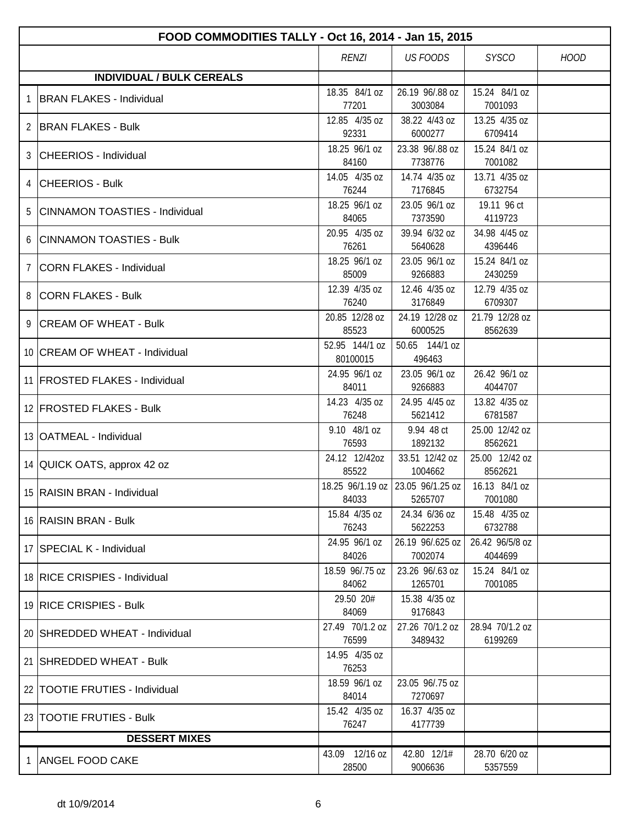|   | FOOD COMMODITIES TALLY - Oct 16, 2014 - Jan 15, 2015 |                            |                                                            |                            |             |  |  |
|---|------------------------------------------------------|----------------------------|------------------------------------------------------------|----------------------------|-------------|--|--|
|   |                                                      | <b>RENZI</b>               | <b>US FOODS</b>                                            | <b>SYSCO</b>               | <b>HOOD</b> |  |  |
|   | <b>INDIVIDUAL / BULK CEREALS</b>                     |                            |                                                            |                            |             |  |  |
| 1 | <b>BRAN FLAKES - Individual</b>                      | 18.35 84/1 oz<br>77201     | 26.19 96/.88 oz<br>3003084                                 | 15.24 84/1 oz<br>7001093   |             |  |  |
| 2 | <b>BRAN FLAKES - Bulk</b>                            | 12.85 4/35 oz<br>92331     | 38.22 4/43 oz<br>6000277                                   | 13.25 4/35 oz<br>6709414   |             |  |  |
|   | 3 CHEERIOS - Individual                              | 18.25 96/1 oz<br>84160     | 23.38 96/.88 oz<br>7738776                                 | 15.24 84/1 oz<br>7001082   |             |  |  |
| 4 | <b>CHEERIOS - Bulk</b>                               | 14.05 4/35 oz<br>76244     | 14.74 4/35 oz<br>7176845                                   | 13.71 4/35 oz<br>6732754   |             |  |  |
| 5 | <b>CINNAMON TOASTIES - Individual</b>                | 18.25 96/1 oz<br>84065     | 23.05 96/1 oz<br>7373590                                   | 19.11 96 ct<br>4119723     |             |  |  |
| 6 | <b>CINNAMON TOASTIES - Bulk</b>                      | 20.95 4/35 oz<br>76261     | 39.94 6/32 oz<br>5640628                                   | 34.98 4/45 oz<br>4396446   |             |  |  |
| 7 | <b>CORN FLAKES - Individual</b>                      | 18.25 96/1 oz<br>85009     | 23.05 96/1 oz<br>9266883                                   | 15.24 84/1 oz<br>2430259   |             |  |  |
|   | 8 CORN FLAKES - Bulk                                 | 12.39 4/35 oz<br>76240     | 12.46 4/35 oz<br>3176849                                   | 12.79 4/35 oz<br>6709307   |             |  |  |
|   | 9 CREAM OF WHEAT - Bulk                              | 20.85 12/28 oz<br>85523    | 24.19 12/28 oz<br>6000525                                  | 21.79 12/28 oz<br>8562639  |             |  |  |
|   | 10 CREAM OF WHEAT - Individual                       | 52.95 144/1 oz<br>80100015 | 50.65 144/1 oz<br>496463                                   |                            |             |  |  |
|   | 11 FROSTED FLAKES - Individual                       | 24.95 96/1 oz<br>84011     | 23.05 96/1 oz<br>9266883                                   | 26.42 96/1 oz<br>4044707   |             |  |  |
|   | 12 FROSTED FLAKES - Bulk                             | 14.23 4/35 oz<br>76248     | 24.95 4/45 oz<br>5621412                                   | 13.82 4/35 oz<br>6781587   |             |  |  |
|   | 13   OATMEAL - Individual                            | 9.10 48/1 oz<br>76593      | 9.94 48 ct<br>1892132                                      | 25.00 12/42 oz<br>8562621  |             |  |  |
|   | 14 QUICK OATS, approx 42 oz                          | 24.12 12/42oz<br>85522     | 33.51 12/42 oz<br>1004662                                  | 25.00 12/42 oz<br>8562621  |             |  |  |
|   | 15 RAISIN BRAN - Individual                          | 84033                      | 18.25 96/1.19 oz 23.05 96/1.25 oz 16.13 84/1 oz<br>5265707 | 7001080                    |             |  |  |
|   | 16 RAISIN BRAN - Bulk                                | 15.84 4/35 oz<br>76243     | 24.34 6/36 oz<br>5622253                                   | 15.48 4/35 oz<br>6732788   |             |  |  |
|   | 17 SPECIAL K - Individual                            | 24.95 96/1 oz<br>84026     | 26.19 96/.625 oz<br>7002074                                | 26.42 96/5/8 oz<br>4044699 |             |  |  |
|   | 18 RICE CRISPIES - Individual                        | 18.59 96/.75 oz<br>84062   | 23.26 96/.63 oz<br>1265701                                 | 15.24 84/1 oz<br>7001085   |             |  |  |
|   | 19 RICE CRISPIES - Bulk                              | 29.50 20#<br>84069         | 15.38 4/35 oz<br>9176843                                   |                            |             |  |  |
|   | 20   SHREDDED WHEAT - Individual                     | 27.49 70/1.2 oz<br>76599   | 27.26 70/1.2 oz<br>3489432                                 | 28.94 70/1.2 oz<br>6199269 |             |  |  |
|   | 21 SHREDDED WHEAT - Bulk                             | 14.95 4/35 oz<br>76253     |                                                            |                            |             |  |  |
|   | 22   TOOTIE FRUTIES - Individual                     | 18.59 96/1 oz<br>84014     | 23.05 96/.75 oz<br>7270697                                 |                            |             |  |  |
|   | 23 TOOTIE FRUTIES - Bulk                             | 15.42 4/35 oz<br>76247     | 16.37 4/35 oz<br>4177739                                   |                            |             |  |  |
|   | <b>DESSERT MIXES</b>                                 |                            |                                                            |                            |             |  |  |
| 1 | <b>ANGEL FOOD CAKE</b>                               | 43.09 12/16 oz<br>28500    | 42.80 12/1#<br>9006636                                     | 28.70 6/20 oz<br>5357559   |             |  |  |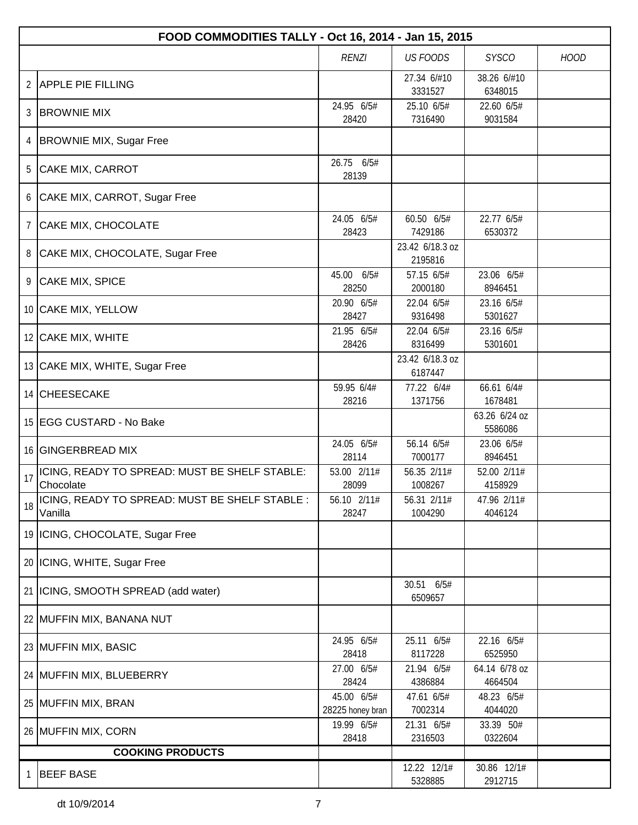|                | FOOD COMMODITIES TALLY - Oct 16, 2014 - Jan 15, 2015       |                                |                            |                          |             |  |  |
|----------------|------------------------------------------------------------|--------------------------------|----------------------------|--------------------------|-------------|--|--|
|                |                                                            | <b>RENZI</b>                   | <b>US FOODS</b>            | <b>SYSCO</b>             | <b>HOOD</b> |  |  |
| $\overline{2}$ | <b>APPLE PIE FILLING</b>                                   |                                | 27.34 6/#10<br>3331527     | 38.26 6/#10<br>6348015   |             |  |  |
| 3              | <b>BROWNIE MIX</b>                                         | 24.95 6/5#                     | 25.10 6/5#                 | 22.60 6/5#               |             |  |  |
|                |                                                            | 28420                          | 7316490                    | 9031584                  |             |  |  |
| 4              | <b>BROWNIE MIX, Sugar Free</b>                             |                                |                            |                          |             |  |  |
| 5              | CAKE MIX, CARROT                                           | 26.75 6/5#<br>28139            |                            |                          |             |  |  |
| 6              | CAKE MIX, CARROT, Sugar Free                               |                                |                            |                          |             |  |  |
| 7              | <b>CAKE MIX, CHOCOLATE</b>                                 | 24.05 6/5#<br>28423            | 60.50 6/5#<br>7429186      | 22.77 6/5#<br>6530372    |             |  |  |
| 8              | CAKE MIX, CHOCOLATE, Sugar Free                            |                                | 23.42 6/18.3 oz<br>2195816 |                          |             |  |  |
|                | 9 CAKE MIX, SPICE                                          | 45.00 6/5#<br>28250            | 57.15 6/5#<br>2000180      | 23.06 6/5#<br>8946451    |             |  |  |
|                | 10 CAKE MIX, YELLOW                                        | 20.90 6/5#<br>28427            | 22.04 6/5#<br>9316498      | 23.16 6/5#<br>5301627    |             |  |  |
|                | 12 CAKE MIX, WHITE                                         | 21.95 6/5#<br>28426            | 22.04 6/5#<br>8316499      | 23.16 6/5#<br>5301601    |             |  |  |
|                | 13 CAKE MIX, WHITE, Sugar Free                             |                                | 23.42 6/18.3 oz<br>6187447 |                          |             |  |  |
|                | 14 CHEESECAKE                                              | 59.95 6/4#<br>28216            | 77.22 6/4#<br>1371756      | 66.61 6/4#<br>1678481    |             |  |  |
|                | 15 EGG CUSTARD - No Bake                                   |                                |                            | 63.26 6/24 oz<br>5586086 |             |  |  |
|                | 16 GINGERBREAD MIX                                         | 24.05 6/5#<br>28114            | 56.14 6/5#<br>7000177      | 23.06 6/5#<br>8946451    |             |  |  |
| 17             | ICING, READY TO SPREAD: MUST BE SHELF STABLE:<br>Chocolate | 53.00 2/11#<br>28099           | 56.35 2/11#<br>1008267     | 52.00 2/11#<br>4158929   |             |  |  |
| 18             | ICING, READY TO SPREAD: MUST BE SHELF STABLE :<br>Vanilla  | 56.10 2/11#<br>28247           | 56.31 2/11#<br>1004290     | 47.96 2/11#<br>4046124   |             |  |  |
|                | 19   ICING, CHOCOLATE, Sugar Free                          |                                |                            |                          |             |  |  |
|                | 20 ICING, WHITE, Sugar Free                                |                                |                            |                          |             |  |  |
|                | 21   ICING, SMOOTH SPREAD (add water)                      |                                | 30.51 6/5#<br>6509657      |                          |             |  |  |
|                | 22 MUFFIN MIX, BANANA NUT                                  |                                |                            |                          |             |  |  |
|                | 23 MUFFIN MIX, BASIC                                       | 24.95 6/5#<br>28418            | 25.11 6/5#<br>8117228      | 22.16 6/5#<br>6525950    |             |  |  |
|                | 24 MUFFIN MIX, BLUEBERRY                                   | 27.00 6/5#<br>28424            | 21.94 6/5#<br>4386884      | 64.14 6/78 oz<br>4664504 |             |  |  |
|                | 25 MUFFIN MIX, BRAN                                        | 45.00 6/5#<br>28225 honey bran | 47.61 6/5#<br>7002314      | 48.23 6/5#<br>4044020    |             |  |  |
|                | 26 MUFFIN MIX, CORN                                        | 19.99 6/5#<br>28418            | 21.31 6/5#<br>2316503      | 33.39 50#<br>0322604     |             |  |  |
|                | <b>COOKING PRODUCTS</b>                                    |                                |                            |                          |             |  |  |
| 1              | <b>BEEF BASE</b>                                           |                                | 12.22 12/1#<br>5328885     | 30.86 12/1#<br>2912715   |             |  |  |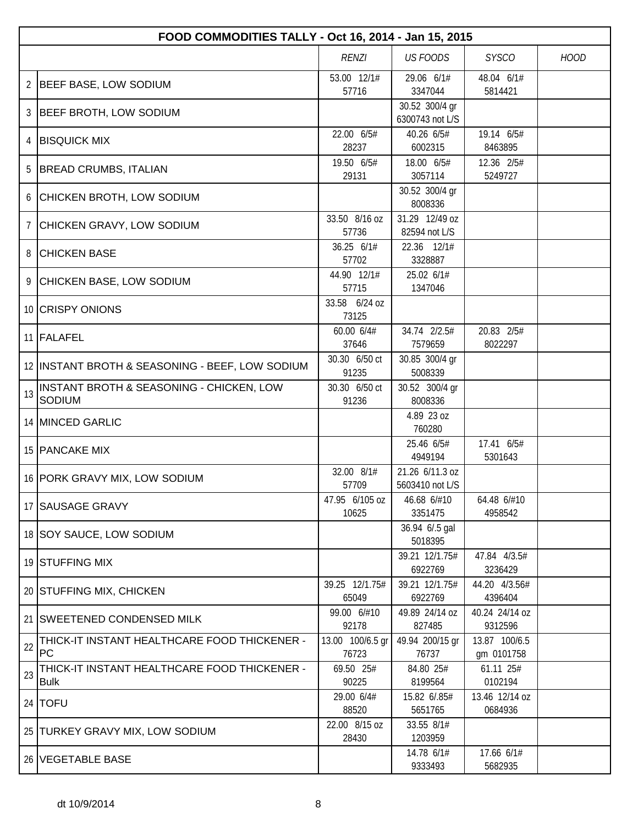|    | FOOD COMMODITIES TALLY - Oct 16, 2014 - Jan 15, 2015        |                           |                                    |                             |             |  |  |  |
|----|-------------------------------------------------------------|---------------------------|------------------------------------|-----------------------------|-------------|--|--|--|
|    |                                                             | <b>RENZI</b>              | <b>US FOODS</b>                    | <b>SYSCO</b>                | <b>HOOD</b> |  |  |  |
| 2  | <b>BEEF BASE, LOW SODIUM</b>                                | 53.00 12/1#<br>57716      | 29.06 6/1#<br>3347044              | 48.04 6/1#<br>5814421       |             |  |  |  |
| 3  | <b>BEEF BROTH, LOW SODIUM</b>                               |                           | 30.52 300/4 gr<br>6300743 not L/S  |                             |             |  |  |  |
| 4  | <b>BISQUICK MIX</b>                                         | 22.00 6/5#<br>28237       | 40.26 6/5#<br>6002315              | 19.14 6/5#<br>8463895       |             |  |  |  |
| 5  | <b>BREAD CRUMBS, ITALIAN</b>                                | 19.50 6/5#<br>29131       | 18.00 6/5#<br>3057114              | 12.36 2/5#<br>5249727       |             |  |  |  |
| 6  | CHICKEN BROTH, LOW SODIUM                                   |                           | 30.52 300/4 gr<br>8008336          |                             |             |  |  |  |
| 7  | CHICKEN GRAVY, LOW SODIUM                                   | 33.50 8/16 oz<br>57736    | 31.29 12/49 oz<br>82594 not L/S    |                             |             |  |  |  |
| 8  | <b>CHICKEN BASE</b>                                         | 36.25 6/1#<br>57702       | 22.36 12/1#<br>3328887             |                             |             |  |  |  |
| 9  | CHICKEN BASE, LOW SODIUM                                    | 44.90 12/1#<br>57715      | 25.02 6/1#<br>1347046              |                             |             |  |  |  |
|    | 10 CRISPY ONIONS                                            | 33.58 6/24 oz<br>73125    |                                    |                             |             |  |  |  |
|    | 11 FALAFEL                                                  | 60.00 6/4#<br>37646       | 34.74 2/2.5#<br>7579659            | 20.83 2/5#<br>8022297       |             |  |  |  |
|    | 12 INSTANT BROTH & SEASONING - BEEF, LOW SODIUM             | 30.30 6/50 ct<br>91235    | 30.85 300/4 gr<br>5008339          |                             |             |  |  |  |
| 13 | INSTANT BROTH & SEASONING - CHICKEN, LOW<br>SODIUM          | 30.30 6/50 ct<br>91236    | 30.52 300/4 gr<br>8008336          |                             |             |  |  |  |
|    | 14 MINCED GARLIC                                            |                           | 4.89 23 oz<br>760280               |                             |             |  |  |  |
|    | 15 PANCAKE MIX                                              |                           | 25.46 6/5#<br>4949194              | 17.41 6/5#<br>5301643       |             |  |  |  |
|    | 16 PORK GRAVY MIX, LOW SODIUM                               | 32.00 8/1#<br>57709       | 21.26 6/11.3 oz<br>5603410 not L/S |                             |             |  |  |  |
|    | 17 SAUSAGE GRAVY                                            | 47.95 6/105 oz<br>10625   | 46.68 6/#10<br>3351475             | 64.48 6/#10<br>4958542      |             |  |  |  |
|    | 18 SOY SAUCE, LOW SODIUM                                    |                           | 36.94 6/.5 gal<br>5018395          |                             |             |  |  |  |
|    | 19 STUFFING MIX                                             |                           | 39.21 12/1.75#<br>6922769          | 47.84 4/3.5#<br>3236429     |             |  |  |  |
|    | 20 STUFFING MIX, CHICKEN                                    | 39.25 12/1.75#<br>65049   | 39.21 12/1.75#<br>6922769          | 44.20 4/3.56#<br>4396404    |             |  |  |  |
|    | 21 SWEETENED CONDENSED MILK                                 | 99.00 6/#10<br>92178      | 49.89 24/14 oz<br>827485           | 40.24 24/14 oz<br>9312596   |             |  |  |  |
| 22 | THICK-IT INSTANT HEALTHCARE FOOD THICKENER -<br><b>PC</b>   | 13.00 100/6.5 gr<br>76723 | 49.94 200/15 gr<br>76737           | 13.87 100/6.5<br>gm 0101758 |             |  |  |  |
| 23 | THICK-IT INSTANT HEALTHCARE FOOD THICKENER -<br><b>Bulk</b> | 69.50 25#<br>90225        | 84.80 25#<br>8199564               | 61.11 25#<br>0102194        |             |  |  |  |
|    | 24   TOFU                                                   | 29.00 6/4#<br>88520       | 15.82 6/.85#<br>5651765            | 13.46 12/14 oz<br>0684936   |             |  |  |  |
|    | 25 TURKEY GRAVY MIX, LOW SODIUM                             | 22.00 8/15 oz<br>28430    | 33.55 8/1#<br>1203959              |                             |             |  |  |  |
|    | 26 VEGETABLE BASE                                           |                           | 14.78 6/1#<br>9333493              | 17.66 6/1#<br>5682935       |             |  |  |  |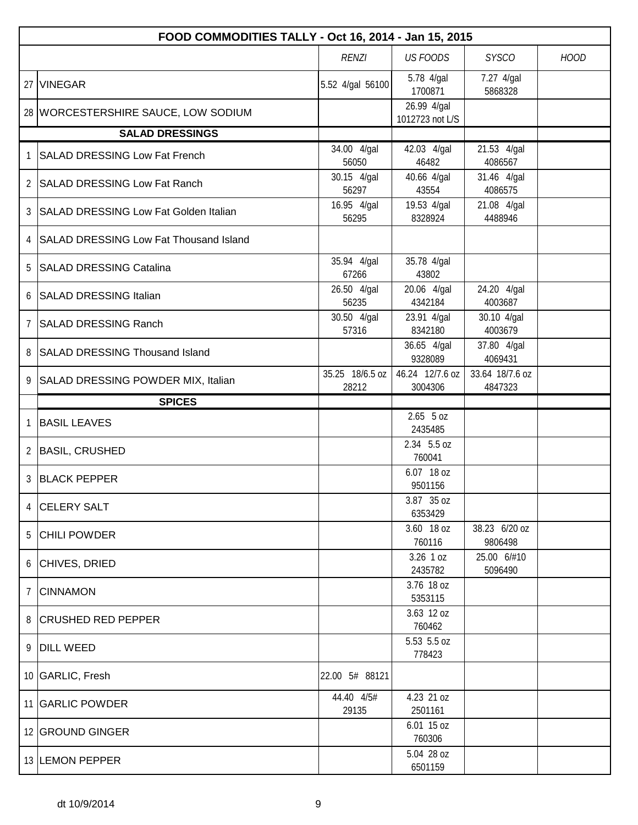|              | FOOD COMMODITIES TALLY - Oct 16, 2014 - Jan 15, 2015 |                          |                                |                            |             |  |  |  |
|--------------|------------------------------------------------------|--------------------------|--------------------------------|----------------------------|-------------|--|--|--|
|              |                                                      | <b>RENZI</b>             | <b>US FOODS</b>                | <b>SYSCO</b>               | <b>HOOD</b> |  |  |  |
|              | 27 VINEGAR                                           | 5.52 4/gal 56100         | 5.78 4/gal<br>1700871          | 7.27 4/gal<br>5868328      |             |  |  |  |
|              | 28 WORCESTERSHIRE SAUCE, LOW SODIUM                  |                          | 26.99 4/gal<br>1012723 not L/S |                            |             |  |  |  |
|              | <b>SALAD DRESSINGS</b>                               |                          |                                |                            |             |  |  |  |
| $\mathbf{1}$ | SALAD DRESSING Low Fat French                        | 34.00 4/gal<br>56050     | 42.03 4/gal<br>46482           | 21.53 4/gal<br>4086567     |             |  |  |  |
|              | 2   SALAD DRESSING Low Fat Ranch                     | 30.15 4/gal<br>56297     | 40.66 4/gal<br>43554           | 31.46 4/gal<br>4086575     |             |  |  |  |
|              | 3   SALAD DRESSING Low Fat Golden Italian            | 16.95 4/gal<br>56295     | 19.53 4/gal<br>8328924         | 21.08 4/gal<br>4488946     |             |  |  |  |
|              | 4 SALAD DRESSING Low Fat Thousand Island             |                          |                                |                            |             |  |  |  |
|              | 5 SALAD DRESSING Catalina                            | 35.94 4/gal<br>67266     | 35.78 4/gal<br>43802           |                            |             |  |  |  |
|              | 6 SALAD DRESSING Italian                             | 26.50 4/gal<br>56235     | 20.06 4/gal<br>4342184         | 24.20 4/gal<br>4003687     |             |  |  |  |
|              | 7 SALAD DRESSING Ranch                               | 30.50 4/gal<br>57316     | 23.91 4/gal<br>8342180         | 30.10 4/gal<br>4003679     |             |  |  |  |
|              | 8 SALAD DRESSING Thousand Island                     |                          | 36.65 4/gal<br>9328089         | 37.80 4/gal<br>4069431     |             |  |  |  |
|              | 9 SALAD DRESSING POWDER MIX, Italian                 | 35.25 18/6.5 oz<br>28212 | 46.24 12/7.6 oz<br>3004306     | 33.64 18/7.6 oz<br>4847323 |             |  |  |  |
|              | <b>SPICES</b>                                        |                          |                                |                            |             |  |  |  |
| 1            | <b>BASIL LEAVES</b>                                  |                          | $2.65$ 5 oz<br>2435485         |                            |             |  |  |  |
|              | 2 BASIL, CRUSHED                                     |                          | 2.34 5.5 oz<br>760041          |                            |             |  |  |  |
|              | 3 BLACK PEPPER                                       |                          | 6.07 18 oz<br>9501156          |                            |             |  |  |  |
|              | 4 CELERY SALT                                        |                          | 3.87 35 oz<br>6353429          |                            |             |  |  |  |
|              | 5 CHILI POWDER                                       |                          | 3.60 18 oz<br>760116           | 38.23 6/20 oz<br>9806498   |             |  |  |  |
|              | 6 CHIVES, DRIED                                      |                          | 3.26 1 oz<br>2435782           | 25.00 6/#10<br>5096490     |             |  |  |  |
| 7            | <b>CINNAMON</b>                                      |                          | 3.76 18 oz<br>5353115          |                            |             |  |  |  |
|              | 8 CRUSHED RED PEPPER                                 |                          | 3.63 12 oz<br>760462           |                            |             |  |  |  |
|              | 9 DILL WEED                                          |                          | 5.53 5.5 oz<br>778423          |                            |             |  |  |  |
|              | 10 GARLIC, Fresh                                     | 22.00 5# 88121           |                                |                            |             |  |  |  |
|              | 11 GARLIC POWDER                                     | 44.40 4/5#<br>29135      | 4.23 21 oz<br>2501161          |                            |             |  |  |  |
|              | 12 GROUND GINGER                                     |                          | $6.01$ 15 oz<br>760306         |                            |             |  |  |  |
|              | 13 LEMON PEPPER                                      |                          | 5.04 28 oz<br>6501159          |                            |             |  |  |  |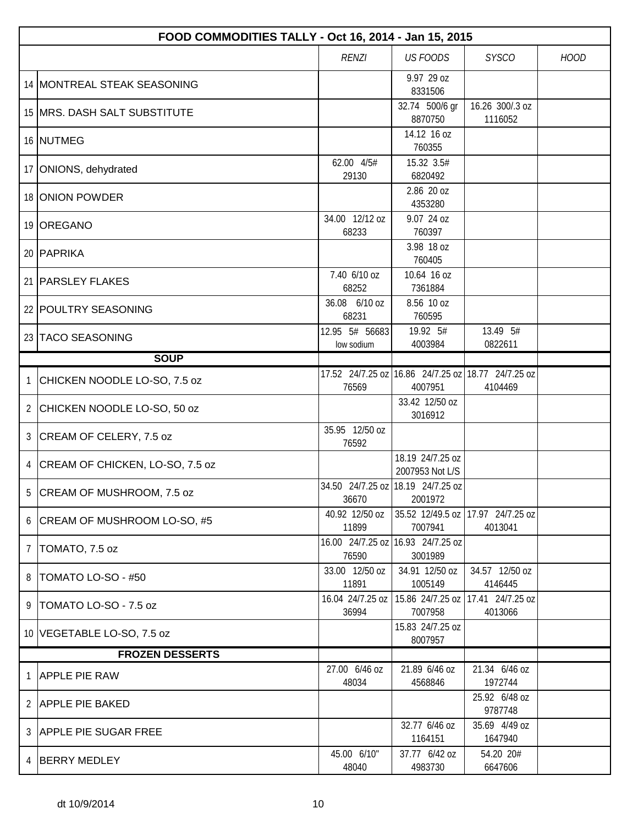|                | FOOD COMMODITIES TALLY - Oct 16, 2014 - Jan 15, 2015 |                                            |                                              |                             |             |  |  |
|----------------|------------------------------------------------------|--------------------------------------------|----------------------------------------------|-----------------------------|-------------|--|--|
|                |                                                      | <b>RENZI</b>                               | <b>US FOODS</b>                              | <b>SYSCO</b>                | <b>HOOD</b> |  |  |
|                | 14 MONTREAL STEAK SEASONING                          |                                            | 9.97 29 oz<br>8331506                        |                             |             |  |  |
|                | 15   MRS. DASH SALT SUBSTITUTE                       |                                            | 32.74 500/6 gr<br>8870750                    | 16.26 300/.3 oz<br>1116052  |             |  |  |
|                | 16 NUTMEG                                            |                                            | 14.12 16 oz<br>760355                        |                             |             |  |  |
|                | 17 ONIONS, dehydrated                                | 62.00 4/5#<br>29130                        | 15.32 3.5#<br>6820492                        |                             |             |  |  |
|                | 18 ONION POWDER                                      |                                            | 2.86 20 oz<br>4353280                        |                             |             |  |  |
|                | 19 OREGANO                                           | 34.00 12/12 oz<br>68233                    | 9.07 24 oz<br>760397                         |                             |             |  |  |
|                | 20 PAPRIKA                                           |                                            | 3.98 18 oz<br>760405                         |                             |             |  |  |
|                | 21   PARSLEY FLAKES                                  | 7.40 6/10 oz<br>68252                      | 10.64 16 oz<br>7361884                       |                             |             |  |  |
|                | 22 POULTRY SEASONING                                 | 36.08 6/10 oz<br>68231                     | 8.56 10 oz<br>760595                         |                             |             |  |  |
|                | 23 TACO SEASONING                                    | 12.95 5# 56683<br>low sodium               | 19.92 5#<br>4003984                          | 13.49 5#<br>0822611         |             |  |  |
|                | <b>SOUP</b>                                          |                                            |                                              |                             |             |  |  |
| 1              | CHICKEN NOODLE LO-SO, 7.5 oz                         | 76569                                      | 17.52 24/7.25 oz 16.86 24/7.25 oz<br>4007951 | 18.77 24/7.25 oz<br>4104469 |             |  |  |
| $\overline{2}$ | CHICKEN NOODLE LO-SO, 50 oz                          |                                            | 33.42 12/50 oz<br>3016912                    |                             |             |  |  |
| 3              | CREAM OF CELERY, 7.5 oz                              | 35.95 12/50 oz<br>76592                    |                                              |                             |             |  |  |
| $\overline{4}$ | CREAM OF CHICKEN, LO-SO, 7.5 oz                      |                                            | 18.19 24/7.25 oz<br>2007953 Not L/S          |                             |             |  |  |
| 5              | CREAM OF MUSHROOM, 7.5 oz                            | 34.50 24/7.25 oz 18.19 24/7.25 oz<br>36670 | 2001972                                      |                             |             |  |  |
|                | 6 CREAM OF MUSHROOM LO-SO, #5                        | 40.92 12/50 oz<br>11899                    | 35.52 12/49.5 oz<br>7007941                  | 17.97 24/7.25 oz<br>4013041 |             |  |  |
| $\overline{7}$ | TOMATO, 7.5 oz                                       | 16.00 24/7.25 oz 16.93 24/7.25 oz<br>76590 | 3001989                                      |                             |             |  |  |
| 8              | TOMATO LO-SO - #50                                   | 33.00 12/50 oz<br>11891                    | 34.91 12/50 oz<br>1005149                    | 34.57 12/50 oz<br>4146445   |             |  |  |
| 9              | TOMATO LO-SO - 7.5 oz                                | 16.04 24/7.25 oz<br>36994                  | 15.86 24/7.25 oz<br>7007958                  | 17.41 24/7.25 oz<br>4013066 |             |  |  |
|                | 10 VEGETABLE LO-SO, 7.5 oz                           |                                            | 15.83 24/7.25 oz<br>8007957                  |                             |             |  |  |
|                | <b>FROZEN DESSERTS</b>                               |                                            |                                              |                             |             |  |  |
| 1              | <b>APPLE PIE RAW</b>                                 | 27.00 6/46 oz<br>48034                     | 21.89 6/46 oz<br>4568846                     | 21.34 6/46 oz<br>1972744    |             |  |  |
| 2              | <b>APPLE PIE BAKED</b>                               |                                            |                                              | 25.92 6/48 oz<br>9787748    |             |  |  |
|                | 3 APPLE PIE SUGAR FREE                               |                                            | 32.77 6/46 oz<br>1164151                     | 35.69 4/49 oz<br>1647940    |             |  |  |
| 4              | <b>BERRY MEDLEY</b>                                  | 45.00 6/10"<br>48040                       | 37.77 6/42 oz<br>4983730                     | 54.20 20#<br>6647606        |             |  |  |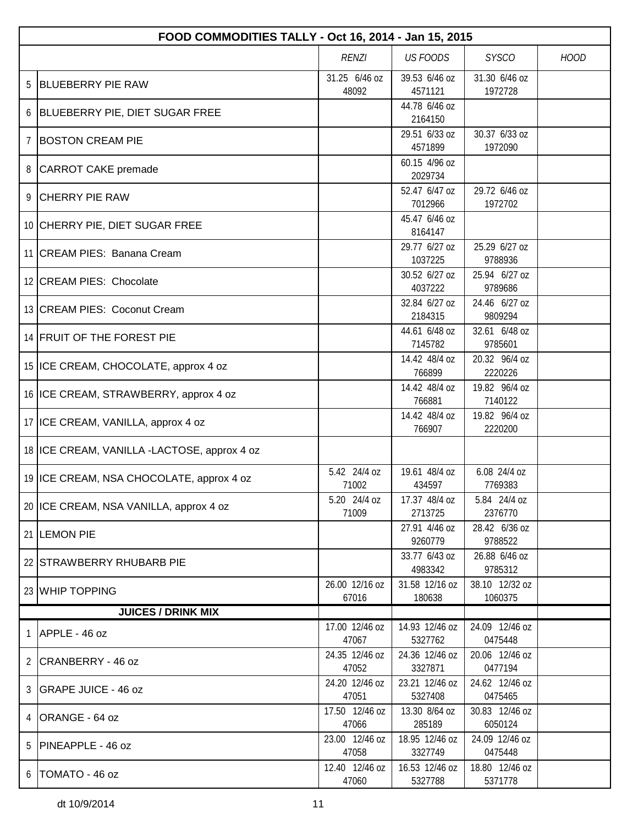|                | FOOD COMMODITIES TALLY - Oct 16, 2014 - Jan 15, 2015 |                         |                           |                           |             |  |  |  |
|----------------|------------------------------------------------------|-------------------------|---------------------------|---------------------------|-------------|--|--|--|
|                |                                                      | <b>RENZI</b>            | <b>US FOODS</b>           | <b>SYSCO</b>              | <b>HOOD</b> |  |  |  |
| 5              | <b>BLUEBERRY PIE RAW</b>                             | 31.25 6/46 oz<br>48092  | 39.53 6/46 oz<br>4571121  | 31.30 6/46 oz<br>1972728  |             |  |  |  |
|                | 6 BLUEBERRY PIE, DIET SUGAR FREE                     |                         | 44.78 6/46 oz<br>2164150  |                           |             |  |  |  |
| $\overline{7}$ | <b>BOSTON CREAM PIE</b>                              |                         | 29.51 6/33 oz<br>4571899  | 30.37 6/33 oz<br>1972090  |             |  |  |  |
|                | 8 CARROT CAKE premade                                |                         | 60.15 4/96 oz<br>2029734  |                           |             |  |  |  |
| 9              | <b>CHERRY PIE RAW</b>                                |                         | 52.47 6/47 oz<br>7012966  | 29.72 6/46 oz<br>1972702  |             |  |  |  |
|                | 10 CHERRY PIE, DIET SUGAR FREE                       |                         | 45.47 6/46 oz<br>8164147  |                           |             |  |  |  |
|                | 11 CREAM PIES: Banana Cream                          |                         | 29.77 6/27 oz<br>1037225  | 25.29 6/27 oz<br>9788936  |             |  |  |  |
|                | 12 CREAM PIES: Chocolate                             |                         | 30.52 6/27 oz<br>4037222  | 25.94 6/27 oz<br>9789686  |             |  |  |  |
|                | 13 CREAM PIES: Coconut Cream                         |                         | 32.84 6/27 oz<br>2184315  | 24.46 6/27 oz<br>9809294  |             |  |  |  |
|                | 14 FRUIT OF THE FOREST PIE                           |                         | 44.61 6/48 oz<br>7145782  | 32.61 6/48 oz<br>9785601  |             |  |  |  |
|                | 15 ICE CREAM, CHOCOLATE, approx 4 oz                 |                         | 14.42 48/4 oz<br>766899   | 20.32 96/4 oz<br>2220226  |             |  |  |  |
|                | 16 ICE CREAM, STRAWBERRY, approx 4 oz                |                         | 14.42 48/4 oz<br>766881   | 19.82 96/4 oz<br>7140122  |             |  |  |  |
|                | 17   ICE CREAM, VANILLA, approx 4 oz                 |                         | 14.42 48/4 oz<br>766907   | 19.82 96/4 oz<br>2220200  |             |  |  |  |
|                | 18 ICE CREAM, VANILLA -LACTOSE, approx 4 oz          |                         |                           |                           |             |  |  |  |
|                | 19   ICE CREAM, NSA CHOCOLATE, approx 4 oz           | 5.42 24/4 oz<br>71002   | 19.61 48/4 oz<br>434597   | 6.08 24/4 oz<br>7769383   |             |  |  |  |
|                | 20 ICE CREAM, NSA VANILLA, approx 4 oz               | 5.20 24/4 oz<br>71009   | 17.37 48/4 oz<br>2713725  | 5.84 24/4 oz<br>2376770   |             |  |  |  |
|                | 21 LEMON PIE                                         |                         | 27.91 4/46 oz<br>9260779  | 28.42 6/36 oz<br>9788522  |             |  |  |  |
|                | 22 STRAWBERRY RHUBARB PIE                            |                         | 33.77 6/43 oz<br>4983342  | 26.88 6/46 oz<br>9785312  |             |  |  |  |
|                | 23 WHIP TOPPING                                      | 26.00 12/16 oz<br>67016 | 31.58 12/16 oz<br>180638  | 38.10 12/32 oz<br>1060375 |             |  |  |  |
|                | <b>JUICES / DRINK MIX</b>                            |                         |                           |                           |             |  |  |  |
| 1              | APPLE - 46 oz                                        | 17.00 12/46 oz<br>47067 | 14.93 12/46 oz<br>5327762 | 24.09 12/46 oz<br>0475448 |             |  |  |  |
|                | 2 CRANBERRY - 46 oz                                  | 24.35 12/46 oz<br>47052 | 24.36 12/46 oz<br>3327871 | 20.06 12/46 oz<br>0477194 |             |  |  |  |
|                | 3   GRAPE JUICE - 46 oz                              | 24.20 12/46 oz<br>47051 | 23.21 12/46 oz<br>5327408 | 24.62 12/46 oz<br>0475465 |             |  |  |  |
| 4              | ORANGE - 64 oz                                       | 17.50 12/46 oz<br>47066 | 13.30 8/64 oz<br>285189   | 30.83 12/46 oz<br>6050124 |             |  |  |  |
| 5              | PINEAPPLE - 46 oz                                    | 23.00 12/46 oz<br>47058 | 18.95 12/46 oz<br>3327749 | 24.09 12/46 oz<br>0475448 |             |  |  |  |
|                | $6$  TOMATO - 46 oz                                  | 12.40 12/46 oz<br>47060 | 16.53 12/46 oz<br>5327788 | 18.80 12/46 oz<br>5371778 |             |  |  |  |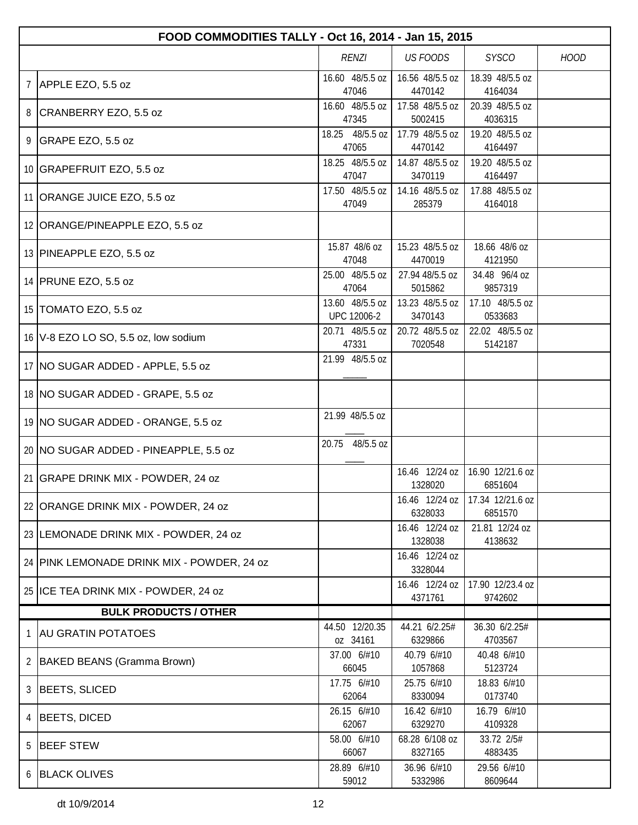|                 | FOOD COMMODITIES TALLY - Oct 16, 2014 - Jan 15, 2015 |                                |                            |                             |             |  |  |  |
|-----------------|------------------------------------------------------|--------------------------------|----------------------------|-----------------------------|-------------|--|--|--|
|                 |                                                      | <b>RENZI</b>                   | <b>US FOODS</b>            | <b>SYSCO</b>                | <b>HOOD</b> |  |  |  |
| $7\phantom{.0}$ | APPLE EZO, 5.5 oz                                    | 16.60 48/5.5 oz<br>47046       | 16.56 48/5.5 oz<br>4470142 | 18.39 48/5.5 oz<br>4164034  |             |  |  |  |
|                 | 8 CRANBERRY EZO, 5.5 oz                              | 16.60 48/5.5 oz<br>47345       | 17.58 48/5.5 oz<br>5002415 | 20.39 48/5.5 oz<br>4036315  |             |  |  |  |
|                 | 9 GRAPE EZO, 5.5 oz                                  | 18.25 48/5.5 oz<br>47065       | 17.79 48/5.5 oz<br>4470142 | 19.20 48/5.5 oz<br>4164497  |             |  |  |  |
|                 | 10 GRAPEFRUIT EZO, 5.5 oz                            | 18.25 48/5.5 oz<br>47047       | 14.87 48/5.5 oz<br>3470119 | 19.20 48/5.5 oz<br>4164497  |             |  |  |  |
|                 | 11 ORANGE JUICE EZO, 5.5 oz                          | 17.50 48/5.5 oz<br>47049       | 14.16 48/5.5 oz<br>285379  | 17.88 48/5.5 oz<br>4164018  |             |  |  |  |
|                 | 12 ORANGE/PINEAPPLE EZO, 5.5 oz                      |                                |                            |                             |             |  |  |  |
|                 | 13 PINEAPPLE EZO, 5.5 oz                             | 15.87 48/6 oz<br>47048         | 15.23 48/5.5 oz<br>4470019 | 18.66 48/6 oz<br>4121950    |             |  |  |  |
|                 | 14 PRUNE EZO, 5.5 oz                                 | 25.00 48/5.5 oz<br>47064       | 27.94 48/5.5 oz<br>5015862 | 34.48 96/4 oz<br>9857319    |             |  |  |  |
|                 | 15 TOMATO EZO, 5.5 oz                                | 13.60 48/5.5 oz<br>UPC 12006-2 | 13.23 48/5.5 oz<br>3470143 | 17.10 48/5.5 oz<br>0533683  |             |  |  |  |
|                 | 16   V-8 EZO LO SO, 5.5 oz, low sodium               | 20.71 48/5.5 oz<br>47331       | 20.72 48/5.5 oz<br>7020548 | 22.02 48/5.5 oz<br>5142187  |             |  |  |  |
|                 | 17   NO SUGAR ADDED - APPLE, 5.5 oz                  | 21.99 48/5.5 oz                |                            |                             |             |  |  |  |
|                 | 18   NO SUGAR ADDED - GRAPE, 5.5 oz                  |                                |                            |                             |             |  |  |  |
|                 | 19 NO SUGAR ADDED - ORANGE, 5.5 oz                   | 21.99 48/5.5 oz                |                            |                             |             |  |  |  |
|                 | 20 NO SUGAR ADDED - PINEAPPLE, 5.5 oz                | 20.75 48/5.5 oz                |                            |                             |             |  |  |  |
|                 | 21 GRAPE DRINK MIX - POWDER, 24 oz                   |                                | 16.46 12/24 oz<br>1328020  | 16.90 12/21.6 oz<br>6851604 |             |  |  |  |
|                 | 22   ORANGE DRINK MIX - POWDER, 24 oz                |                                | 16.46 12/24 oz<br>6328033  | 17.34 12/21.6 oz<br>6851570 |             |  |  |  |
|                 | 23 LEMONADE DRINK MIX - POWDER, 24 oz                |                                | 16.46 12/24 oz<br>1328038  | 21.81 12/24 oz<br>4138632   |             |  |  |  |
|                 | 24 PINK LEMONADE DRINK MIX - POWDER, 24 oz           |                                | 16.46 12/24 oz<br>3328044  |                             |             |  |  |  |
|                 | 25 ICE TEA DRINK MIX - POWDER, 24 oz                 |                                | 16.46 12/24 oz<br>4371761  | 17.90 12/23.4 oz<br>9742602 |             |  |  |  |
|                 | <b>BULK PRODUCTS / OTHER</b>                         |                                |                            |                             |             |  |  |  |
| 1               | <b>AU GRATIN POTATOES</b>                            | 44.50 12/20.35<br>oz 34161     | 44.21 6/2.25#<br>6329866   | 36.30 6/2.25#<br>4703567    |             |  |  |  |
|                 | 2   BAKED BEANS (Gramma Brown)                       | 37.00 6/#10<br>66045           | 40.79 6/#10<br>1057868     | 40.48 6/#10<br>5123724      |             |  |  |  |
| 3               | BEETS, SLICED                                        | 17.75 6/#10<br>62064           | 25.75 6/#10<br>8330094     | 18.83 6/#10<br>0173740      |             |  |  |  |
| 4               | BEETS, DICED                                         | 26.15 6/#10<br>62067           | 16.42 6/#10<br>6329270     | 16.79 6/#10<br>4109328      |             |  |  |  |
| 5               | <b>BEEF STEW</b>                                     | 58.00 6/#10<br>66067           | 68.28 6/108 oz<br>8327165  | 33.72 2/5#<br>4883435       |             |  |  |  |
|                 | 6 BLACK OLIVES                                       | 28.89 6/#10<br>59012           | 36.96 6/#10<br>5332986     | 29.56 6/#10<br>8609644      |             |  |  |  |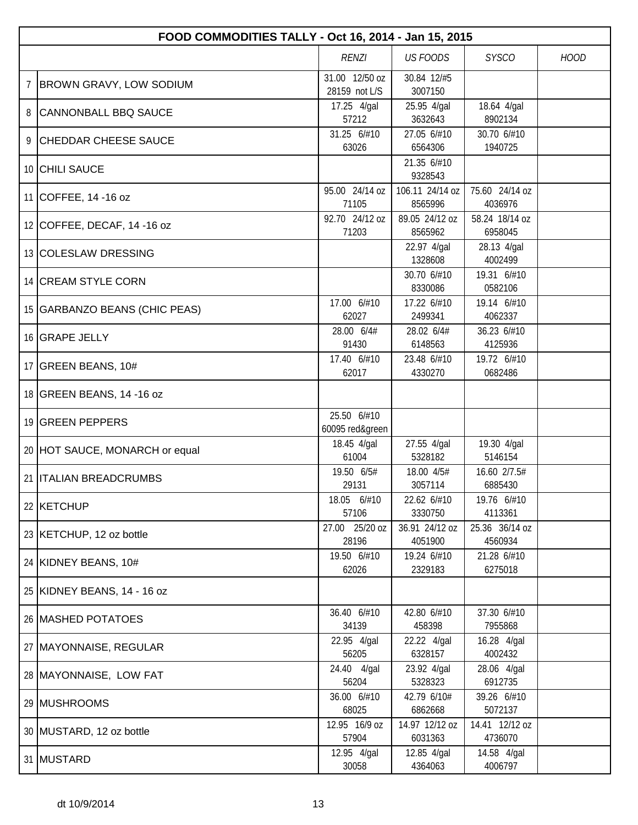|                                                         | FOOD COMMODITIES TALLY - Oct 16, 2014 - Jan 15, 2015 |                                 |                            |                           |  |  |  |
|---------------------------------------------------------|------------------------------------------------------|---------------------------------|----------------------------|---------------------------|--|--|--|
| <b>US FOODS</b><br><b>SYSCO</b><br><b>HOOD</b><br>RENZI |                                                      |                                 |                            |                           |  |  |  |
| 7                                                       | <b>BROWN GRAVY, LOW SODIUM</b>                       | 31.00 12/50 oz<br>28159 not L/S | 30.84 12/#5<br>3007150     |                           |  |  |  |
| 8                                                       | <b>CANNONBALL BBQ SAUCE</b>                          | 17.25 4/gal<br>57212            | 25.95 4/gal<br>3632643     | 18.64 4/gal<br>8902134    |  |  |  |
| 9                                                       | <b>CHEDDAR CHEESE SAUCE</b>                          | 31.25 6/#10<br>63026            | 27.05 6/#10<br>6564306     | 30.70 6/#10<br>1940725    |  |  |  |
|                                                         | 10 CHILI SAUCE                                       |                                 | 21.35 6/#10<br>9328543     |                           |  |  |  |
|                                                         | 11 COFFEE, 14 -16 oz                                 | 95.00 24/14 oz<br>71105         | 106.11 24/14 oz<br>8565996 | 75.60 24/14 oz<br>4036976 |  |  |  |
|                                                         | 12 COFFEE, DECAF, 14 -16 oz                          | 92.70 24/12 oz<br>71203         | 89.05 24/12 oz<br>8565962  | 58.24 18/14 oz<br>6958045 |  |  |  |
|                                                         | 13 COLESLAW DRESSING                                 |                                 | 22.97 4/gal<br>1328608     | 28.13 4/gal<br>4002499    |  |  |  |
|                                                         | 14 CREAM STYLE CORN                                  |                                 | 30.70 6/#10<br>8330086     | 19.31 6/#10<br>0582106    |  |  |  |
|                                                         | 15 GARBANZO BEANS (CHIC PEAS)                        | 17.00 6/#10<br>62027            | 17.22 6/#10<br>2499341     | 19.14 6/#10<br>4062337    |  |  |  |
|                                                         | 16 GRAPE JELLY                                       | 28.00 6/4#<br>91430             | 28.02 6/4#<br>6148563      | 36.23 6/#10<br>4125936    |  |  |  |
|                                                         | 17 GREEN BEANS, 10#                                  | 17.40 6/#10<br>62017            | 23.48 6/#10<br>4330270     | 19.72 6/#10<br>0682486    |  |  |  |
|                                                         | 18 GREEN BEANS, 14 -16 oz                            |                                 |                            |                           |  |  |  |
|                                                         | 19 GREEN PEPPERS                                     | 25.50 6/#10<br>60095 red&green  |                            |                           |  |  |  |
|                                                         | 20 HOT SAUCE, MONARCH or equal                       | 18.45 4/gal<br>61004            | 27.55 4/gal<br>5328182     | 19.30 4/gal<br>5146154    |  |  |  |
|                                                         | 21 <b>ITALIAN BREADCRUMBS</b>                        | 19.50 6/5#<br>29131             | 18.00 4/5#<br>3057114      | 16.60 2/7.5#<br>6885430   |  |  |  |
|                                                         | 22 KETCHUP                                           | 18.05 6/#10<br>57106            | 22.62 6/#10<br>3330750     | 19.76 6/#10<br>4113361    |  |  |  |
|                                                         | 23 KETCHUP, 12 oz bottle                             | 27.00 25/20 oz<br>28196         | 36.91 24/12 oz<br>4051900  | 25.36 36/14 oz<br>4560934 |  |  |  |
|                                                         | 24 KIDNEY BEANS, 10#                                 | 19.50 6/#10<br>62026            | 19.24 6/#10<br>2329183     | 21.28 6/#10<br>6275018    |  |  |  |
|                                                         | 25 KIDNEY BEANS, 14 - 16 oz                          |                                 |                            |                           |  |  |  |
|                                                         | 26 MASHED POTATOES                                   | 36.40 6/#10<br>34139            | 42.80 6/#10<br>458398      | 37.30 6/#10<br>7955868    |  |  |  |
|                                                         | 27   MAYONNAISE, REGULAR                             | 22.95 4/gal<br>56205            | 22.22 4/gal<br>6328157     | 16.28 4/gal<br>4002432    |  |  |  |
|                                                         | 28 MAYONNAISE, LOW FAT                               | 24.40 4/gal<br>56204            | 23.92 4/gal<br>5328323     | 28.06 4/gal<br>6912735    |  |  |  |
|                                                         | 29 MUSHROOMS                                         | 36.00 6/#10<br>68025            | 42.79 6/10#<br>6862668     | 39.26 6/#10<br>5072137    |  |  |  |
|                                                         | 30 MUSTARD, 12 oz bottle                             | 12.95 16/9 oz<br>57904          | 14.97 12/12 oz<br>6031363  | 14.41 12/12 oz<br>4736070 |  |  |  |
|                                                         | 31 MUSTARD                                           | 12.95 4/gal<br>30058            | 12.85 4/gal<br>4364063     | 14.58 4/gal<br>4006797    |  |  |  |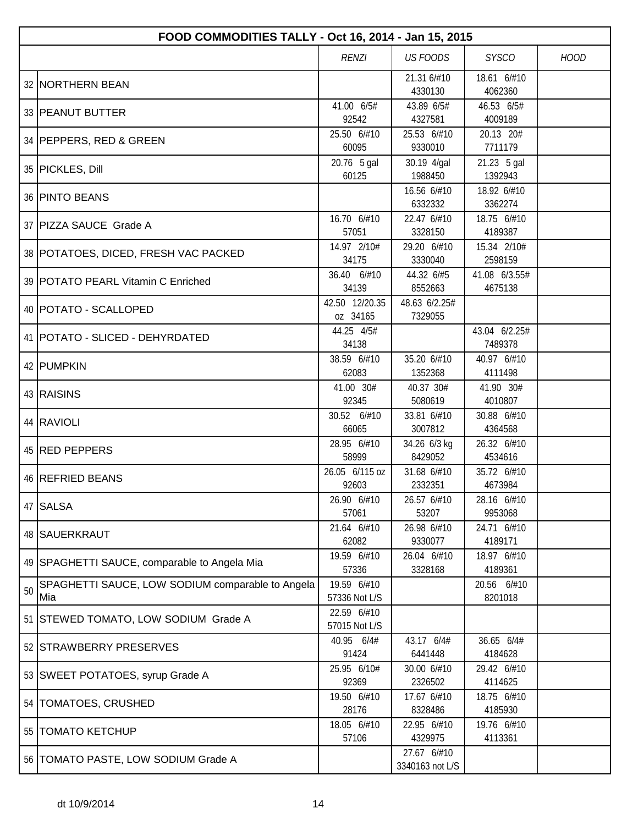|    | FOOD COMMODITIES TALLY - Oct 16, 2014 - Jan 15, 2015    |                              |                                |                          |             |  |  |
|----|---------------------------------------------------------|------------------------------|--------------------------------|--------------------------|-------------|--|--|
|    |                                                         | <b>RENZI</b>                 | <b>US FOODS</b>                | <b>SYSCO</b>             | <b>HOOD</b> |  |  |
|    | 32 NORTHERN BEAN                                        |                              | 21.31 6/#10<br>4330130         | 18.61 6/#10<br>4062360   |             |  |  |
|    | 33 PEANUT BUTTER                                        | 41.00 6/5#<br>92542          | 43.89 6/5#<br>4327581          | 46.53 6/5#<br>4009189    |             |  |  |
|    | 34 PEPPERS, RED & GREEN                                 | 25.50 6/#10<br>60095         | 25.53 6/#10<br>9330010         | 20.13 20#<br>7711179     |             |  |  |
|    | 35 PICKLES, Dill                                        | 20.76 5 gal<br>60125         | 30.19 4/gal<br>1988450         | 21.23 5 gal<br>1392943   |             |  |  |
|    | 36 PINTO BEANS                                          |                              | 16.56 6/#10<br>6332332         | 18.92 6/#10<br>3362274   |             |  |  |
|    | 37   PIZZA SAUCE Grade A                                | 16.70 6/#10<br>57051         | 22.47 6/#10<br>3328150         | 18.75 6/#10<br>4189387   |             |  |  |
|    | 38 POTATOES, DICED, FRESH VAC PACKED                    | 14.97 2/10#<br>34175         | 29.20 6/#10<br>3330040         | 15.34 2/10#<br>2598159   |             |  |  |
|    | 39   POTATO PEARL Vitamin C Enriched                    | 36.40 6/#10<br>34139         | 44.32 6/#5<br>8552663          | 41.08 6/3.55#<br>4675138 |             |  |  |
|    | 40   POTATO - SCALLOPED                                 | 42.50 12/20.35<br>oz 34165   | 48.63 6/2.25#<br>7329055       |                          |             |  |  |
|    | 41   POTATO - SLICED - DEHYRDATED                       | 44.25 4/5#<br>34138          |                                | 43.04 6/2.25#<br>7489378 |             |  |  |
|    | 42 PUMPKIN                                              | 38.59 6/#10<br>62083         | 35.20 6/#10<br>1352368         | 40.97 6/#10<br>4111498   |             |  |  |
|    | 43 RAISINS                                              | 41.00 30#<br>92345           | 40.37 30#<br>5080619           | 41.90 30#<br>4010807     |             |  |  |
|    | 44 RAVIOLI                                              | 30.52 6/#10<br>66065         | 33.81 6/#10<br>3007812         | 30.88 6/#10<br>4364568   |             |  |  |
|    | 45 RED PEPPERS                                          | 28.95 6/#10<br>58999         | 34.26 6/3 kg<br>8429052        | 26.32 6/#10<br>4534616   |             |  |  |
|    | 46 REFRIED BEANS                                        | 26.05 6/115 oz<br>92603      | 31.68 6/#10<br>2332351         | 35.72 6/#10<br>4673984   |             |  |  |
|    | 47 SALSA                                                | 26.90 6/#10<br>57061         | 26.57 6/#10<br>53207           | 28.16 6/#10<br>9953068   |             |  |  |
|    | 48   SAUERKRAUT                                         | 21.64 6/#10<br>62082         | 26.98 6/#10<br>9330077         | 24.71 6/#10<br>4189171   |             |  |  |
|    | 49 SPAGHETTI SAUCE, comparable to Angela Mia            | 19.59 6/#10<br>57336         | 26.04 6/#10<br>3328168         | 18.97 6/#10<br>4189361   |             |  |  |
| 50 | SPAGHETTI SAUCE, LOW SODIUM comparable to Angela<br>Mia | 19.59 6/#10<br>57336 Not L/S |                                | 20.56 6/#10<br>8201018   |             |  |  |
|    | 51 STEWED TOMATO, LOW SODIUM Grade A                    | 22.59 6/#10<br>57015 Not L/S |                                |                          |             |  |  |
|    | 52 STRAWBERRY PRESERVES                                 | 40.95 6/4#<br>91424          | 43.17 6/4#<br>6441448          | 36.65 6/4#<br>4184628    |             |  |  |
|    | 53 SWEET POTATOES, syrup Grade A                        | 25.95 6/10#<br>92369         | 30.00 6/#10<br>2326502         | 29.42 6/#10<br>4114625   |             |  |  |
|    | 54   TOMATOES, CRUSHED                                  | 19.50 6/#10<br>28176         | 17.67 6/#10<br>8328486         | 18.75 6/#10<br>4185930   |             |  |  |
|    | 55   TOMATO KETCHUP                                     | 18.05 6/#10<br>57106         | 22.95 6/#10<br>4329975         | 19.76 6/#10<br>4113361   |             |  |  |
|    | 56   TOMATO PASTE, LOW SODIUM Grade A                   |                              | 27.67 6/#10<br>3340163 not L/S |                          |             |  |  |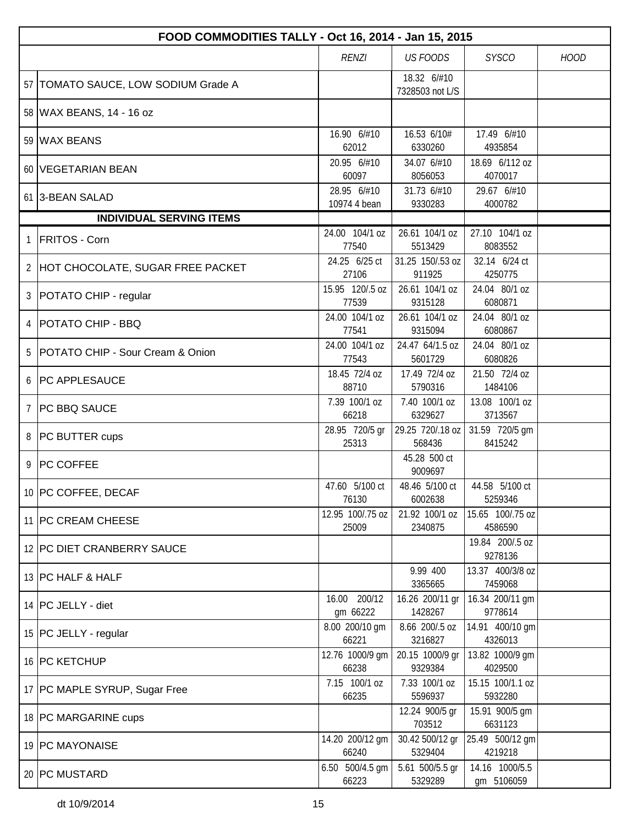|                | FOOD COMMODITIES TALLY - Oct 16, 2014 - Jan 15, 2015 |                             |                                |                              |             |  |  |  |
|----------------|------------------------------------------------------|-----------------------------|--------------------------------|------------------------------|-------------|--|--|--|
|                |                                                      | <b>RENZI</b>                | <b>US FOODS</b>                | <b>SYSCO</b>                 | <b>HOOD</b> |  |  |  |
|                | 57   TOMATO SAUCE, LOW SODIUM Grade A                |                             | 18.32 6/#10<br>7328503 not L/S |                              |             |  |  |  |
|                | 58 WAX BEANS, 14 - 16 oz                             |                             |                                |                              |             |  |  |  |
|                | 59 WAX BEANS                                         | 16.90 6/#10<br>62012        | 16.53 6/10#<br>6330260         | 17.49 6/#10<br>4935854       |             |  |  |  |
|                | 60 VEGETARIAN BEAN                                   | 20.95 6/#10<br>60097        | 34.07 6/#10<br>8056053         | 18.69 6/112 oz<br>4070017    |             |  |  |  |
|                | 61 3-BEAN SALAD                                      | 28.95 6/#10<br>10974 4 bean | 31.73 6/#10<br>9330283         | 29.67 6/#10<br>4000782       |             |  |  |  |
|                | <b>INDIVIDUAL SERVING ITEMS</b>                      |                             |                                |                              |             |  |  |  |
| $\mathbf{1}$   | <b>FRITOS - Corn</b>                                 | 24.00 104/1 oz<br>77540     | 26.61 104/1 oz<br>5513429      | 27.10 104/1 oz<br>8083552    |             |  |  |  |
|                | 2 HOT CHOCOLATE, SUGAR FREE PACKET                   | 24.25 6/25 ct<br>27106      | 31.25 150/.53 oz<br>911925     | 32.14 6/24 ct<br>4250775     |             |  |  |  |
| 3              | POTATO CHIP - regular                                | 15.95 120/.5 oz<br>77539    | 26.61 104/1 oz<br>9315128      | 24.04 80/1 oz<br>6080871     |             |  |  |  |
| 4              | <b>POTATO CHIP - BBQ</b>                             | 24.00 104/1 oz<br>77541     | 26.61 104/1 oz<br>9315094      | 24.04 80/1 oz<br>6080867     |             |  |  |  |
| 5              | POTATO CHIP - Sour Cream & Onion                     | 24.00 104/1 oz<br>77543     | 24.47 64/1.5 oz<br>5601729     | 24.04 80/1 oz<br>6080826     |             |  |  |  |
| 6              | <b>PC APPLESAUCE</b>                                 | 18.45 72/4 oz<br>88710      | 17.49 72/4 oz<br>5790316       | 21.50 72/4 oz<br>1484106     |             |  |  |  |
| $\overline{7}$ | PC BBQ SAUCE                                         | 7.39 100/1 oz<br>66218      | 7.40 100/1 oz<br>6329627       | 13.08 100/1 oz<br>3713567    |             |  |  |  |
| 8              | <b>PC BUTTER cups</b>                                | 28.95 720/5 gr<br>25313     | 29.25 720/.18 oz<br>568436     | 31.59 720/5 gm<br>8415242    |             |  |  |  |
| 9              | <b>PC COFFEE</b>                                     |                             | 45.28 500 ct<br>9009697        |                              |             |  |  |  |
|                | 10 PC COFFEE, DECAF                                  | 47.60 5/100 ct<br>76130     | 48.46 5/100 ct<br>6002638      | 44.58 5/100 ct<br>5259346    |             |  |  |  |
|                | 11   PC CREAM CHEESE                                 | 12.95 100/.75 oz<br>25009   | 21.92 100/1 oz<br>2340875      | 15.65 100/.75 oz<br>4586590  |             |  |  |  |
|                | 12 PC DIET CRANBERRY SAUCE                           |                             |                                | 19.84 200/.5 oz<br>9278136   |             |  |  |  |
|                | 13 PC HALF & HALF                                    |                             | 9.99 400<br>3365665            | 13.37 400/3/8 oz<br>7459068  |             |  |  |  |
|                | 14   PC JELLY - diet                                 | 16.00 200/12<br>gm 66222    | 16.26 200/11 gr<br>1428267     | 16.34 200/11 gm<br>9778614   |             |  |  |  |
|                | 15   PC JELLY - regular                              | 8.00 200/10 gm<br>66221     | 8.66 200/.5 oz<br>3216827      | 14.91 400/10 gm<br>4326013   |             |  |  |  |
|                | 16 PC KETCHUP                                        | 12.76 1000/9 gm<br>66238    | 20.15 1000/9 gr<br>9329384     | 13.82 1000/9 gm<br>4029500   |             |  |  |  |
|                | 17   PC MAPLE SYRUP, Sugar Free                      | 7.15 100/1 oz<br>66235      | 7.33 100/1 oz<br>5596937       | 15.15 100/1.1 oz<br>5932280  |             |  |  |  |
|                | 18 PC MARGARINE cups                                 |                             | 12.24 900/5 gr<br>703512       | 15.91 900/5 gm<br>6631123    |             |  |  |  |
|                | 19 PC MAYONAISE                                      | 14.20 200/12 gm<br>66240    | 30.42 500/12 gr<br>5329404     | 25.49 500/12 gm<br>4219218   |             |  |  |  |
|                | 20 PC MUSTARD                                        | 6.50 500/4.5 gm<br>66223    | 5.61 500/5.5 gr<br>5329289     | 14.16 1000/5.5<br>gm 5106059 |             |  |  |  |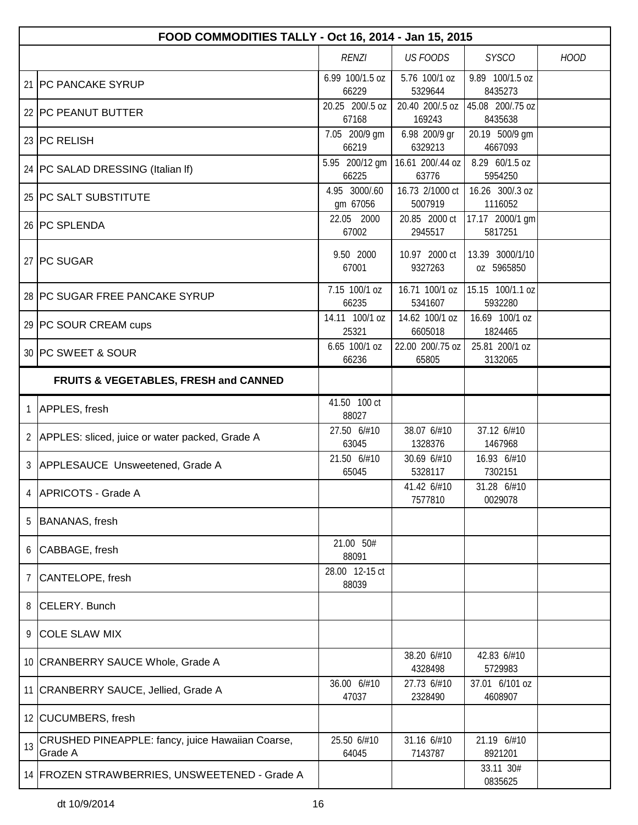|                                                  | FOOD COMMODITIES TALLY - Oct 16, 2014 - Jan 15, 2015        |                           |                            |                               |             |  |  |
|--------------------------------------------------|-------------------------------------------------------------|---------------------------|----------------------------|-------------------------------|-------------|--|--|
|                                                  |                                                             | <b>RENZI</b>              | <b>US FOODS</b>            | <b>SYSCO</b>                  | <b>HOOD</b> |  |  |
|                                                  | 21 PC PANCAKE SYRUP                                         | 6.99 100/1.5 oz<br>66229  | 5.76 100/1 oz<br>5329644   | 9.89 100/1.5 oz<br>8435273    |             |  |  |
|                                                  | 22 PC PEANUT BUTTER                                         | 20.25 200/.5 oz<br>67168  | 20.40 200/.5 oz<br>169243  | 45.08 200/.75 oz<br>8435638   |             |  |  |
|                                                  | 23 PC RELISH                                                | 7.05 200/9 gm<br>66219    | 6.98 200/9 gr<br>6329213   | 20.19 500/9 gm<br>4667093     |             |  |  |
|                                                  | 24   PC SALAD DRESSING (Italian If)                         | 5.95 200/12 gm<br>66225   | 16.61 200/.44 oz<br>63776  | 8.29 60/1.5 oz<br>5954250     |             |  |  |
|                                                  | 25 PC SALT SUBSTITUTE                                       | 4.95 3000/.60<br>gm 67056 | 16.73 2/1000 ct<br>5007919 | 16.26 300/.3 oz<br>1116052    |             |  |  |
|                                                  | 26 PC SPLENDA                                               | 22.05 2000<br>67002       | 20.85 2000 ct<br>2945517   | 17.17 2000/1 gm<br>5817251    |             |  |  |
|                                                  | 27 PC SUGAR                                                 | 9.50 2000<br>67001        | 10.97 2000 ct<br>9327263   | 13.39 3000/1/10<br>oz 5965850 |             |  |  |
|                                                  | 28 PC SUGAR FREE PANCAKE SYRUP                              | 7.15 100/1 oz<br>66235    | 16.71 100/1 oz<br>5341607  | 15.15 100/1.1 oz<br>5932280   |             |  |  |
|                                                  | 29 PC SOUR CREAM cups                                       | 14.11 100/1 oz<br>25321   | 14.62 100/1 oz<br>6605018  | 16.69 100/1 oz<br>1824465     |             |  |  |
|                                                  | 30 PC SWEET & SOUR                                          | 6.65 100/1 oz<br>66236    | 22.00 200/.75 oz<br>65805  | 25.81 200/1 oz<br>3132065     |             |  |  |
| <b>FRUITS &amp; VEGETABLES, FRESH and CANNED</b> |                                                             |                           |                            |                               |             |  |  |
| $\mathbf{1}$                                     | APPLES, fresh                                               | 41.50 100 ct<br>88027     |                            |                               |             |  |  |
|                                                  | 2   APPLES: sliced, juice or water packed, Grade A          | 27.50 6/#10<br>63045      | 38.07 6/#10<br>1328376     | 37.12 6/#10<br>1467968        |             |  |  |
| 3 <sup>1</sup>                                   | APPLESAUCE Unsweetened, Grade A                             | 21.50 6/#10<br>65045      | 30.69 6/#10<br>5328117     | 16.93 6/#10<br>7302151        |             |  |  |
|                                                  | 4 APRICOTS - Grade A                                        |                           | 41.42 6/#10<br>7577810     | 31.28 6/#10<br>0029078        |             |  |  |
| 5                                                | <b>BANANAS, fresh</b>                                       |                           |                            |                               |             |  |  |
| 6                                                | CABBAGE, fresh                                              | 21.00 50#<br>88091        |                            |                               |             |  |  |
| 7                                                | CANTELOPE, fresh                                            | 28.00 12-15 ct<br>88039   |                            |                               |             |  |  |
| 8                                                | CELERY. Bunch                                               |                           |                            |                               |             |  |  |
| 9                                                | <b>COLE SLAW MIX</b>                                        |                           |                            |                               |             |  |  |
|                                                  | 10 CRANBERRY SAUCE Whole, Grade A                           |                           | 38.20 6/#10<br>4328498     | 42.83 6/#10<br>5729983        |             |  |  |
|                                                  | 11 CRANBERRY SAUCE, Jellied, Grade A                        | 36.00 6/#10<br>47037      | 27.73 6/#10<br>2328490     | 37.01 6/101 oz<br>4608907     |             |  |  |
|                                                  | 12 CUCUMBERS, fresh                                         |                           |                            |                               |             |  |  |
| 13                                               | CRUSHED PINEAPPLE: fancy, juice Hawaiian Coarse,<br>Grade A | 25.50 6/#10<br>64045      | 31.16 6/#10<br>7143787     | 21.19 6/#10<br>8921201        |             |  |  |
|                                                  | 14 FROZEN STRAWBERRIES, UNSWEETENED - Grade A               |                           |                            | 33.11 30#<br>0835625          |             |  |  |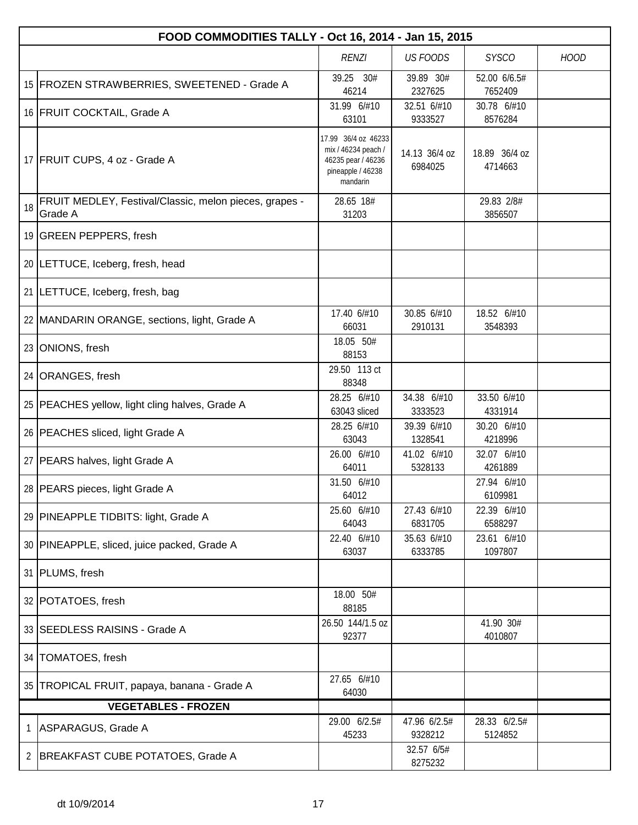|                                                                | FOOD COMMODITIES TALLY - Oct 16, 2014 - Jan 15, 2015              |                                                                                                   |                          |                          |  |  |  |
|----------------------------------------------------------------|-------------------------------------------------------------------|---------------------------------------------------------------------------------------------------|--------------------------|--------------------------|--|--|--|
| <b>US FOODS</b><br><b>SYSCO</b><br><b>RENZI</b><br><b>HOOD</b> |                                                                   |                                                                                                   |                          |                          |  |  |  |
|                                                                | 15 FROZEN STRAWBERRIES, SWEETENED - Grade A                       | 39.25 30#<br>46214                                                                                | 39.89 30#<br>2327625     | 52.00 6/6.5#<br>7652409  |  |  |  |
|                                                                | 16 FRUIT COCKTAIL, Grade A                                        | 31.99 6/#10<br>63101                                                                              | 32.51 6/#10<br>9333527   | 30.78 6/#10<br>8576284   |  |  |  |
|                                                                | 17 FRUIT CUPS, 4 oz - Grade A                                     | 17.99 36/4 oz 46233<br>mix / 46234 peach /<br>46235 pear / 46236<br>pineapple / 46238<br>mandarin | 14.13 36/4 oz<br>6984025 | 18.89 36/4 oz<br>4714663 |  |  |  |
| 18                                                             | FRUIT MEDLEY, Festival/Classic, melon pieces, grapes -<br>Grade A | 28.65 18#<br>31203                                                                                |                          | 29.83 2/8#<br>3856507    |  |  |  |
|                                                                | 19 GREEN PEPPERS, fresh                                           |                                                                                                   |                          |                          |  |  |  |
|                                                                | 20 LETTUCE, Iceberg, fresh, head                                  |                                                                                                   |                          |                          |  |  |  |
|                                                                | 21   LETTUCE, Iceberg, fresh, bag                                 |                                                                                                   |                          |                          |  |  |  |
|                                                                | 22 MANDARIN ORANGE, sections, light, Grade A                      | 17.40 6/#10<br>66031                                                                              | 30.85 6/#10<br>2910131   | 18.52 6/#10<br>3548393   |  |  |  |
|                                                                | 23 ONIONS, fresh                                                  | 18.05 50#<br>88153                                                                                |                          |                          |  |  |  |
|                                                                | 24 ORANGES, fresh                                                 | 29.50 113 ct<br>88348                                                                             |                          |                          |  |  |  |
|                                                                | 25   PEACHES yellow, light cling halves, Grade A                  | 28.25 6/#10<br>63043 sliced                                                                       | 34.38 6/#10<br>3333523   | 33.50 6/#10<br>4331914   |  |  |  |
|                                                                | 26   PEACHES sliced, light Grade A                                | 28.25 6/#10<br>63043                                                                              | 39.39 6/#10<br>1328541   | 30.20 6/#10<br>4218996   |  |  |  |
|                                                                | 27   PEARS halves, light Grade A                                  | 26.00 6/#10<br>64011                                                                              | 41.02 6/#10<br>5328133   | 32.07 6/#10<br>4261889   |  |  |  |
|                                                                | 28   PEARS pieces, light Grade A                                  | 31.50 6/#10<br>64012                                                                              |                          | 27.94 6/#10<br>6109981   |  |  |  |
|                                                                | 29 PINEAPPLE TIDBITS: light, Grade A                              | 25.60 6/#10<br>64043                                                                              | 27.43 6/#10<br>6831705   | 22.39 6/#10<br>6588297   |  |  |  |
|                                                                | 30 PINEAPPLE, sliced, juice packed, Grade A                       | 22.40 6/#10<br>63037                                                                              | 35.63 6/#10<br>6333785   | 23.61 6/#10<br>1097807   |  |  |  |
|                                                                | 31   PLUMS, fresh                                                 |                                                                                                   |                          |                          |  |  |  |
|                                                                | 32 POTATOES, fresh                                                | 18.00 50#<br>88185                                                                                |                          |                          |  |  |  |
|                                                                | 33 SEEDLESS RAISINS - Grade A                                     | 26.50 144/1.5 oz<br>92377                                                                         |                          | 41.90 30#<br>4010807     |  |  |  |
|                                                                | 34   TOMATOES, fresh                                              |                                                                                                   |                          |                          |  |  |  |
|                                                                | 35 TROPICAL FRUIT, papaya, banana - Grade A                       | 27.65 6/#10<br>64030                                                                              |                          |                          |  |  |  |
|                                                                | <b>VEGETABLES - FROZEN</b>                                        |                                                                                                   |                          |                          |  |  |  |
| 1                                                              | ASPARAGUS, Grade A                                                | 29.00 6/2.5#<br>45233                                                                             | 47.96 6/2.5#<br>9328212  | 28.33 6/2.5#<br>5124852  |  |  |  |
| 2                                                              | BREAKFAST CUBE POTATOES, Grade A                                  |                                                                                                   | 32.57 6/5#<br>8275232    |                          |  |  |  |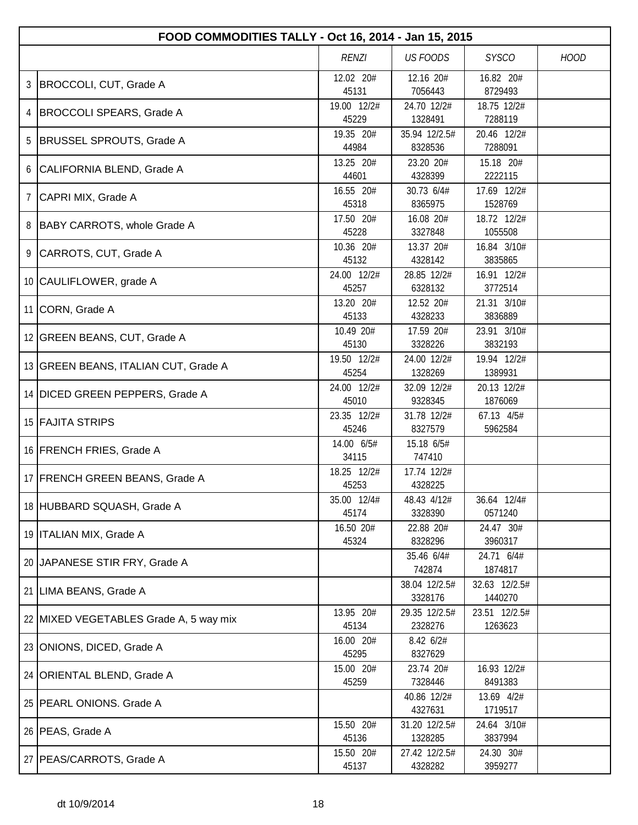|   | FOOD COMMODITIES TALLY - Oct 16, 2014 - Jan 15, 2015 |                      |                          |                          |             |  |  |
|---|------------------------------------------------------|----------------------|--------------------------|--------------------------|-------------|--|--|
|   |                                                      | RENZI                | <b>US FOODS</b>          | <b>SYSCO</b>             | <b>HOOD</b> |  |  |
| 3 | BROCCOLI, CUT, Grade A                               | 12.02 20#<br>45131   | 12.16 20#<br>7056443     | 16.82 20#<br>8729493     |             |  |  |
| 4 | BROCCOLI SPEARS, Grade A                             | 19.00 12/2#<br>45229 | 24.70 12/2#<br>1328491   | 18.75 12/2#<br>7288119   |             |  |  |
| 5 | BRUSSEL SPROUTS, Grade A                             | 19.35 20#<br>44984   | 35.94 12/2.5#<br>8328536 | 20.46 12/2#<br>7288091   |             |  |  |
|   | 6 CALIFORNIA BLEND, Grade A                          | 13.25 20#<br>44601   | 23.20 20#<br>4328399     | 15.18 20#<br>2222115     |             |  |  |
| 7 | CAPRI MIX, Grade A                                   | 16.55 20#<br>45318   | 30.73 6/4#<br>8365975    | 17.69 12/2#<br>1528769   |             |  |  |
| 8 | BABY CARROTS, whole Grade A                          | 17.50 20#<br>45228   | 16.08 20#<br>3327848     | 18.72 12/2#<br>1055508   |             |  |  |
|   | 9 CARROTS, CUT, Grade A                              | 10.36 20#<br>45132   | 13.37 20#<br>4328142     | 16.84 3/10#<br>3835865   |             |  |  |
|   | 10 CAULIFLOWER, grade A                              | 24.00 12/2#<br>45257 | 28.85 12/2#<br>6328132   | 16.91 12/2#<br>3772514   |             |  |  |
|   | 11 CORN, Grade A                                     | 13.20 20#<br>45133   | 12.52 20#<br>4328233     | 21.31 3/10#<br>3836889   |             |  |  |
|   | 12 GREEN BEANS, CUT, Grade A                         | 10.49 20#<br>45130   | 17.59 20#<br>3328226     | 23.91 3/10#<br>3832193   |             |  |  |
|   | 13 GREEN BEANS, ITALIAN CUT, Grade A                 | 19.50 12/2#<br>45254 | 24.00 12/2#<br>1328269   | 19.94 12/2#<br>1389931   |             |  |  |
|   | 14 DICED GREEN PEPPERS, Grade A                      | 24.00 12/2#<br>45010 | 32.09 12/2#<br>9328345   | 20.13 12/2#<br>1876069   |             |  |  |
|   | 15 FAJITA STRIPS                                     | 23.35 12/2#<br>45246 | 31.78 12/2#<br>8327579   | 67.13 4/5#<br>5962584    |             |  |  |
|   | 16 FRENCH FRIES, Grade A                             | 14.00 6/5#<br>34115  | 15.18 6/5#<br>747410     |                          |             |  |  |
|   | 17 FRENCH GREEN BEANS, Grade A                       | 18.25 12/2#<br>45253 | 17.74 12/2#<br>4328225   |                          |             |  |  |
|   | 18 HUBBARD SQUASH, Grade A                           | 35.00 12/4#<br>45174 | 48.43 4/12#<br>3328390   | 36.64 12/4#<br>0571240   |             |  |  |
|   | 19   ITALIAN MIX, Grade A                            | 16.50 20#<br>45324   | 22.88 20#<br>8328296     | 24.47 30#<br>3960317     |             |  |  |
|   | 20 JAPANESE STIR FRY, Grade A                        |                      | 35.46 6/4#<br>742874     | 24.71 6/4#<br>1874817    |             |  |  |
|   | 21 LIMA BEANS, Grade A                               |                      | 38.04 12/2.5#<br>3328176 | 32.63 12/2.5#<br>1440270 |             |  |  |
|   | 22 MIXED VEGETABLES Grade A, 5 way mix               | 13.95 20#<br>45134   | 29.35 12/2.5#<br>2328276 | 23.51 12/2.5#<br>1263623 |             |  |  |
|   | 23 ONIONS, DICED, Grade A                            | 16.00 20#<br>45295   | 8.42 6/2#<br>8327629     |                          |             |  |  |
|   | 24   ORIENTAL BLEND, Grade A                         | 15.00 20#<br>45259   | 23.74 20#<br>7328446     | 16.93 12/2#<br>8491383   |             |  |  |
|   | 25 PEARL ONIONS. Grade A                             |                      | 40.86 12/2#<br>4327631   | 13.69 4/2#<br>1719517    |             |  |  |
|   | 26   PEAS, Grade A                                   | 15.50 20#<br>45136   | 31.20 12/2.5#<br>1328285 | 24.64 3/10#<br>3837994   |             |  |  |
|   | 27   PEAS/CARROTS, Grade A                           | 15.50 20#<br>45137   | 27.42 12/2.5#<br>4328282 | 24.30 30#<br>3959277     |             |  |  |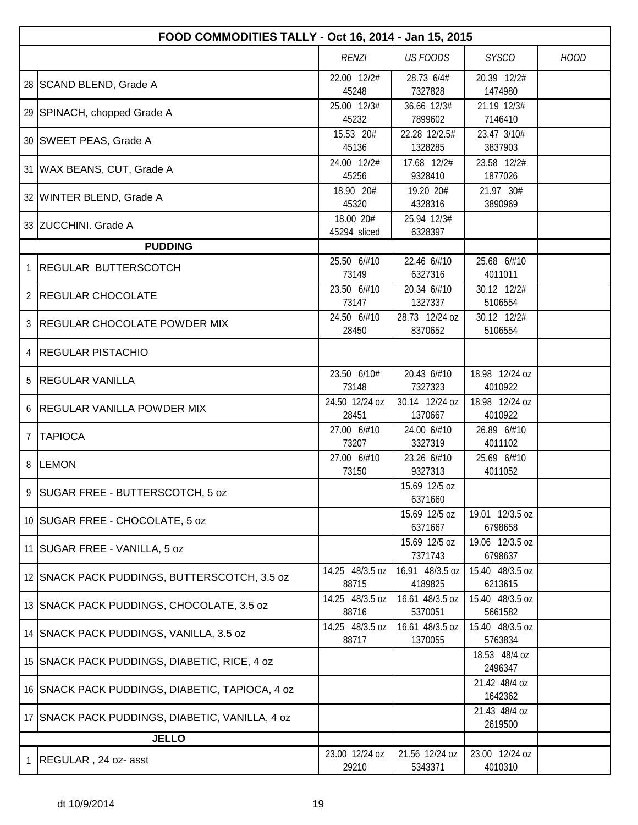|                | FOOD COMMODITIES TALLY - Oct 16, 2014 - Jan 15, 2015 |                           |                            |                            |             |  |  |
|----------------|------------------------------------------------------|---------------------------|----------------------------|----------------------------|-------------|--|--|
|                |                                                      | <b>RENZI</b>              | <b>US FOODS</b>            | <b>SYSCO</b>               | <b>HOOD</b> |  |  |
|                | 28   SCAND BLEND, Grade A                            | 22.00 12/2#<br>45248      | 28.73 6/4#<br>7327828      | 20.39 12/2#<br>1474980     |             |  |  |
|                | 29 SPINACH, chopped Grade A                          | 25.00 12/3#<br>45232      | 36.66 12/3#<br>7899602     | 21.19 12/3#<br>7146410     |             |  |  |
|                | 30 SWEET PEAS, Grade A                               | 15.53 20#<br>45136        | 22.28 12/2.5#<br>1328285   | 23.47 3/10#<br>3837903     |             |  |  |
|                | 31   WAX BEANS, CUT, Grade A                         | 24.00 12/2#<br>45256      | 17.68 12/2#<br>9328410     | 23.58 12/2#<br>1877026     |             |  |  |
|                | 32 WINTER BLEND, Grade A                             | 18.90 20#<br>45320        | 19.20 20#<br>4328316       | 21.97 30#<br>3890969       |             |  |  |
|                | 33 ZUCCHINI. Grade A                                 | 18.00 20#<br>45294 sliced | 25.94 12/3#<br>6328397     |                            |             |  |  |
|                | <b>PUDDING</b>                                       |                           |                            |                            |             |  |  |
| 1              | <b>REGULAR BUTTERSCOTCH</b>                          | 25.50 6/#10<br>73149      | 22.46 6/#10<br>6327316     | 25.68 6/#10<br>4011011     |             |  |  |
| $\overline{2}$ | <b>REGULAR CHOCOLATE</b>                             | 23.50 6/#10<br>73147      | 20.34 6/#10<br>1327337     | 30.12 12/2#<br>5106554     |             |  |  |
| $\mathcal{S}$  | <b>REGULAR CHOCOLATE POWDER MIX</b>                  | 24.50 6/#10<br>28450      | 28.73 12/24 oz<br>8370652  | 30.12 12/2#<br>5106554     |             |  |  |
| 4              | <b>REGULAR PISTACHIO</b>                             |                           |                            |                            |             |  |  |
| 5              | <b>REGULAR VANILLA</b>                               | 23.50 6/10#<br>73148      | 20.43 6/#10<br>7327323     | 18.98 12/24 oz<br>4010922  |             |  |  |
| 6              | <b>REGULAR VANILLA POWDER MIX</b>                    | 24.50 12/24 oz<br>28451   | 30.14 12/24 oz<br>1370667  | 18.98 12/24 oz<br>4010922  |             |  |  |
| $\overline{7}$ | <b>TAPIOCA</b>                                       | 27.00 6/#10<br>73207      | 24.00 6/#10<br>3327319     | 26.89 6/#10<br>4011102     |             |  |  |
| 8              | <b>LEMON</b>                                         | 27.00 6/#10<br>73150      | 23.26 6/#10<br>9327313     | 25.69 6/#10<br>4011052     |             |  |  |
|                | 9 SUGAR FREE - BUTTERSCOTCH, 5 oz                    |                           | 15.69 12/5 oz<br>6371660   |                            |             |  |  |
|                | 10 SUGAR FREE - CHOCOLATE, 5 oz                      |                           | 15.69 12/5 oz<br>6371667   | 19.01 12/3.5 oz<br>6798658 |             |  |  |
|                | 11 SUGAR FREE - VANILLA, 5 oz                        |                           | 15.69 12/5 oz<br>7371743   | 19.06 12/3.5 oz<br>6798637 |             |  |  |
|                | 12 SNACK PACK PUDDINGS, BUTTERSCOTCH, 3.5 oz         | 14.25 48/3.5 oz<br>88715  | 16.91 48/3.5 oz<br>4189825 | 15.40 48/3.5 oz<br>6213615 |             |  |  |
|                | 13 SNACK PACK PUDDINGS, CHOCOLATE, 3.5 oz            | 14.25 48/3.5 oz<br>88716  | 16.61 48/3.5 oz<br>5370051 | 15.40 48/3.5 oz<br>5661582 |             |  |  |
|                | 14 SNACK PACK PUDDINGS, VANILLA, 3.5 oz              | 14.25 48/3.5 oz<br>88717  | 16.61 48/3.5 oz<br>1370055 | 15.40 48/3.5 oz<br>5763834 |             |  |  |
|                | 15 SNACK PACK PUDDINGS, DIABETIC, RICE, 4 oz         |                           |                            | 18.53 48/4 oz<br>2496347   |             |  |  |
|                | 16 SNACK PACK PUDDINGS, DIABETIC, TAPIOCA, 4 oz      |                           |                            | 21.42 48/4 oz<br>1642362   |             |  |  |
|                | 17 SNACK PACK PUDDINGS, DIABETIC, VANILLA, 4 oz      |                           |                            | 21.43 48/4 oz<br>2619500   |             |  |  |
|                | <b>JELLO</b>                                         |                           |                            |                            |             |  |  |
| T.             | REGULAR, 24 oz- asst                                 | 23.00 12/24 oz<br>29210   | 21.56 12/24 oz<br>5343371  | 23.00 12/24 oz<br>4010310  |             |  |  |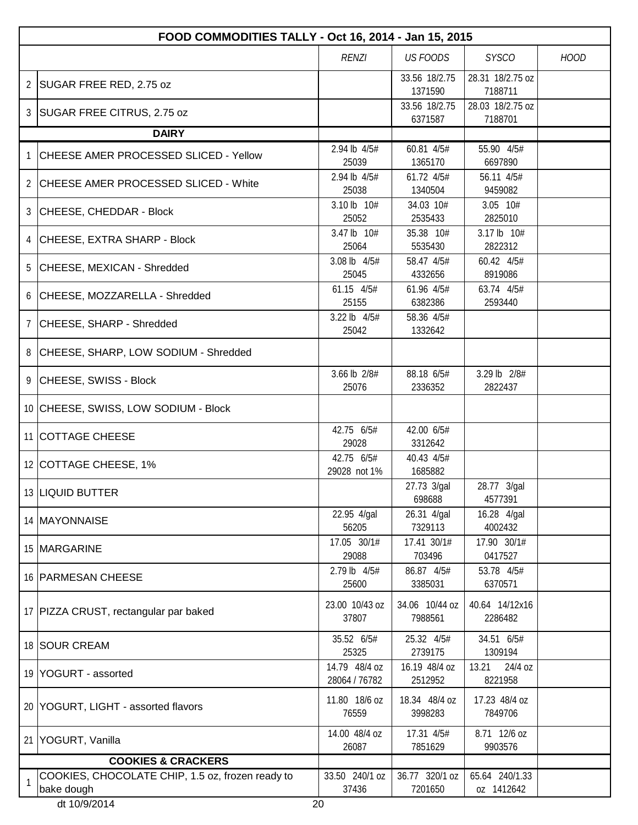|    | FOOD COMMODITIES TALLY - Oct 16, 2014 - Jan 15, 2015           |                                |                           |                              |             |  |  |
|----|----------------------------------------------------------------|--------------------------------|---------------------------|------------------------------|-------------|--|--|
|    |                                                                | <b>RENZI</b>                   | <b>US FOODS</b>           | <b>SYSCO</b>                 | <b>HOOD</b> |  |  |
| 2  | SUGAR FREE RED, 2.75 oz                                        |                                | 33.56 18/2.75<br>1371590  | 28.31 18/2.75 oz<br>7188711  |             |  |  |
| 3  | SUGAR FREE CITRUS, 2.75 oz                                     |                                | 33.56 18/2.75<br>6371587  | 28.03 18/2.75 oz<br>7188701  |             |  |  |
|    | <b>DAIRY</b>                                                   |                                |                           |                              |             |  |  |
|    | CHEESE AMER PROCESSED SLICED - Yellow                          | 2.94 lb 4/5#<br>25039          | 60.81 4/5#<br>1365170     | 55.90 4/5#<br>6697890        |             |  |  |
|    | 2 CHEESE AMER PROCESSED SLICED - White                         | 2.94 lb 4/5#<br>25038          | 61.72 4/5#<br>1340504     | 56.11 4/5#<br>9459082        |             |  |  |
| 3  | CHEESE, CHEDDAR - Block                                        | 3.10 lb 10#<br>25052           | 34.03 10#<br>2535433      | 3.05 10#<br>2825010          |             |  |  |
|    | 4 CHEESE, EXTRA SHARP - Block                                  | 3.47 lb 10#<br>25064           | 35.38 10#<br>5535430      | 3.17 lb 10#<br>2822312       |             |  |  |
| 5  | CHEESE, MEXICAN - Shredded                                     | 3.08 lb 4/5#<br>25045          | 58.47 4/5#<br>4332656     | 60.42 4/5#<br>8919086        |             |  |  |
|    | 6 CHEESE, MOZZARELLA - Shredded                                | 61.15 4/5#<br>25155            | 61.96 4/5#<br>6382386     | 63.74 4/5#<br>2593440        |             |  |  |
| 7  | CHEESE, SHARP - Shredded                                       | 3.22 lb 4/5#<br>25042          | 58.36 4/5#<br>1332642     |                              |             |  |  |
|    | 8 CHEESE, SHARP, LOW SODIUM - Shredded                         |                                |                           |                              |             |  |  |
|    | 9 CHEESE, SWISS - Block                                        | 3.66 lb 2/8#<br>25076          | 88.18 6/5#<br>2336352     | 3.29 lb 2/8#<br>2822437      |             |  |  |
|    | 10 CHEESE, SWISS, LOW SODIUM - Block                           |                                |                           |                              |             |  |  |
|    | 11 COTTAGE CHEESE                                              | 42.75 6/5#<br>29028            | 42.00 6/5#<br>3312642     |                              |             |  |  |
|    | 12 COTTAGE CHEESE, 1%                                          | 42.75 6/5#<br>29028 not 1%     | 40.43 4/5#<br>1685882     |                              |             |  |  |
|    | 13 LIQUID BUTTER                                               |                                | 27.73 3/gal<br>698688     | 28.77 3/gal<br>4577391       |             |  |  |
|    | 14   MAYONNAISE                                                | 22.95 4/gal<br>56205           | 26.31 4/gal<br>7329113    | 16.28 4/gal<br>4002432       |             |  |  |
|    | 15 MARGARINE                                                   | 17.05 30/1#<br>29088           | 17.41 30/1#<br>703496     | 17.90 30/1#<br>0417527       |             |  |  |
|    | 16 PARMESAN CHEESE                                             | 2.79 lb 4/5#<br>25600          | 86.87 4/5#<br>3385031     | 53.78 4/5#<br>6370571        |             |  |  |
|    | 17   PIZZA CRUST, rectangular par baked                        | 23.00 10/43 oz<br>37807        | 34.06 10/44 oz<br>7988561 | 40.64 14/12x16<br>2286482    |             |  |  |
|    | 18 SOUR CREAM                                                  | 35.52 6/5#<br>25325            | 25.32 4/5#<br>2739175     | 34.51 6/5#<br>1309194        |             |  |  |
|    | 19 YOGURT - assorted                                           | 14.79 48/4 oz<br>28064 / 76782 | 16.19 48/4 oz<br>2512952  | 13.21<br>24/4 oz<br>8221958  |             |  |  |
|    | 20 YOGURT, LIGHT - assorted flavors                            | 11.80 18/6 oz<br>76559         | 18.34 48/4 oz<br>3998283  | 17.23 48/4 oz<br>7849706     |             |  |  |
| 21 | YOGURT, Vanilla                                                | 14.00 48/4 oz<br>26087         | 17.31 4/5#<br>7851629     | 8.71 12/6 oz<br>9903576      |             |  |  |
|    | <b>COOKIES &amp; CRACKERS</b>                                  |                                |                           |                              |             |  |  |
|    | COOKIES, CHOCOLATE CHIP, 1.5 oz, frozen ready to<br>bake dough | 33.50 240/1 oz<br>37436        | 36.77 320/1 oz<br>7201650 | 65.64 240/1.33<br>oz 1412642 |             |  |  |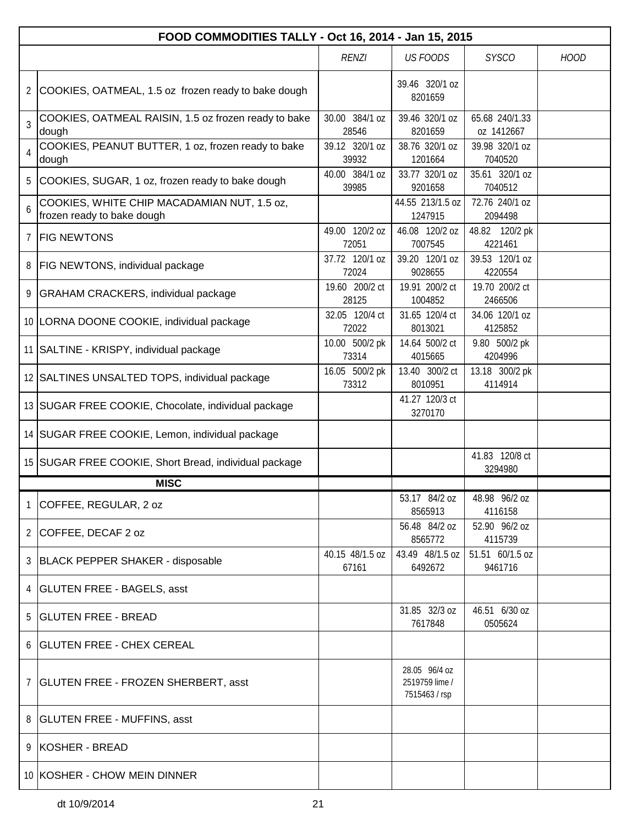|   | FOOD COMMODITIES TALLY - Oct 16, 2014 - Jan 15, 2015                      |                          |                                                  |                              |             |  |  |
|---|---------------------------------------------------------------------------|--------------------------|--------------------------------------------------|------------------------------|-------------|--|--|
|   |                                                                           | <b>RENZI</b>             | <b>US FOODS</b>                                  | <b>SYSCO</b>                 | <b>HOOD</b> |  |  |
|   | 2 COOKIES, OATMEAL, 1.5 oz frozen ready to bake dough                     |                          | 39.46 320/1 oz<br>8201659                        |                              |             |  |  |
| 3 | COOKIES, OATMEAL RAISIN, 1.5 oz frozen ready to bake<br>dough             | 30.00 384/1 oz<br>28546  | 39.46 320/1 oz<br>8201659                        | 65.68 240/1.33<br>oz 1412667 |             |  |  |
| 4 | COOKIES, PEANUT BUTTER, 1 oz, frozen ready to bake<br>dough               | 39.12 320/1 oz<br>39932  | 38.76 320/1 oz<br>1201664                        | 39.98 320/1 oz<br>7040520    |             |  |  |
| 5 | COOKIES, SUGAR, 1 oz, frozen ready to bake dough                          | 40.00 384/1 oz<br>39985  | 33.77 320/1 oz<br>9201658                        | 35.61 320/1 oz<br>7040512    |             |  |  |
| 6 | COOKIES, WHITE CHIP MACADAMIAN NUT, 1.5 oz,<br>frozen ready to bake dough |                          | 44.55 213/1.5 oz<br>1247915                      | 72.76 240/1 oz<br>2094498    |             |  |  |
|   | 7 FIG NEWTONS                                                             | 49.00 120/2 oz<br>72051  | 46.08 120/2 oz<br>7007545                        | 48.82 120/2 pk<br>4221461    |             |  |  |
| 8 | <b>FIG NEWTONS, individual package</b>                                    | 37.72 120/1 oz<br>72024  | 39.20 120/1 oz<br>9028655                        | 39.53 120/1 oz<br>4220554    |             |  |  |
|   | 9   GRAHAM CRACKERS, individual package                                   | 19.60 200/2 ct<br>28125  | 19.91 200/2 ct<br>1004852                        | 19.70 200/2 ct<br>2466506    |             |  |  |
|   | 10 LORNA DOONE COOKIE, individual package                                 | 32.05 120/4 ct<br>72022  | 31.65 120/4 ct<br>8013021                        | 34.06 120/1 oz<br>4125852    |             |  |  |
|   | 11 SALTINE - KRISPY, individual package                                   | 10.00 500/2 pk<br>73314  | 14.64 500/2 ct<br>4015665                        | 9.80 500/2 pk<br>4204996     |             |  |  |
|   | 12 SALTINES UNSALTED TOPS, individual package                             | 16.05 500/2 pk<br>73312  | 13.40 300/2 ct<br>8010951                        | 13.18 300/2 pk<br>4114914    |             |  |  |
|   | 13 SUGAR FREE COOKIE, Chocolate, individual package                       |                          | 41.27 120/3 ct<br>3270170                        |                              |             |  |  |
|   | 14 SUGAR FREE COOKIE, Lemon, individual package                           |                          |                                                  |                              |             |  |  |
|   | 15 SUGAR FREE COOKIE, Short Bread, individual package                     |                          |                                                  | 41.83 120/8 ct<br>3294980    |             |  |  |
|   | <b>MISC</b>                                                               |                          |                                                  |                              |             |  |  |
| 1 | COFFEE, REGULAR, 2 oz                                                     |                          | 53.17 84/2 oz<br>8565913                         | 48.98 96/2 oz<br>4116158     |             |  |  |
|   | 2 COFFEE, DECAF 2 oz                                                      |                          | 56.48 84/2 oz<br>8565772                         | 52.90 96/2 oz<br>4115739     |             |  |  |
|   | 3 BLACK PEPPER SHAKER - disposable                                        | 40.15 48/1.5 oz<br>67161 | 43.49 48/1.5 oz<br>6492672                       | 51.51 60/1.5 oz<br>9461716   |             |  |  |
|   | 4   GLUTEN FREE - BAGELS, asst                                            |                          |                                                  |                              |             |  |  |
| 5 | <b>GLUTEN FREE - BREAD</b>                                                |                          | 31.85 32/3 oz<br>7617848                         | 46.51 6/30 oz<br>0505624     |             |  |  |
|   | 6   GLUTEN FREE - CHEX CEREAL                                             |                          |                                                  |                              |             |  |  |
|   | 7   GLUTEN FREE - FROZEN SHERBERT, asst                                   |                          | 28.05 96/4 oz<br>2519759 lime /<br>7515463 / rsp |                              |             |  |  |
|   | 8   GLUTEN FREE - MUFFINS, asst                                           |                          |                                                  |                              |             |  |  |
|   | 9 KOSHER - BREAD                                                          |                          |                                                  |                              |             |  |  |
|   | 10 KOSHER - CHOW MEIN DINNER                                              |                          |                                                  |                              |             |  |  |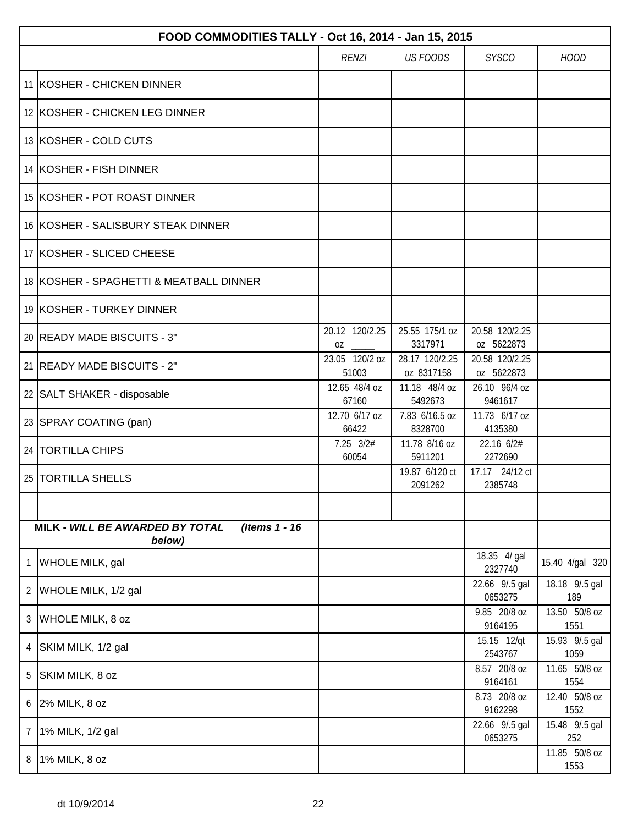|   | FOOD COMMODITIES TALLY - Oct 16, 2014 - Jan 15, 2015        |                         |                              |                              |                        |  |  |  |
|---|-------------------------------------------------------------|-------------------------|------------------------------|------------------------------|------------------------|--|--|--|
|   |                                                             | <b>RENZI</b>            | <b>US FOODS</b>              | <b>SYSCO</b>                 | <b>HOOD</b>            |  |  |  |
|   | 11 KOSHER - CHICKEN DINNER                                  |                         |                              |                              |                        |  |  |  |
|   | 12 KOSHER - CHICKEN LEG DINNER                              |                         |                              |                              |                        |  |  |  |
|   | 13 KOSHER - COLD CUTS                                       |                         |                              |                              |                        |  |  |  |
|   | 14 KOSHER - FISH DINNER                                     |                         |                              |                              |                        |  |  |  |
|   | 15 KOSHER - POT ROAST DINNER                                |                         |                              |                              |                        |  |  |  |
|   | 16 KOSHER - SALISBURY STEAK DINNER                          |                         |                              |                              |                        |  |  |  |
|   | 17 KOSHER - SLICED CHEESE                                   |                         |                              |                              |                        |  |  |  |
|   | 18 KOSHER - SPAGHETTI & MEATBALL DINNER                     |                         |                              |                              |                        |  |  |  |
|   | 19 KOSHER - TURKEY DINNER                                   |                         |                              |                              |                        |  |  |  |
|   | 20 READY MADE BISCUITS - 3"                                 | 20.12 120/2.25<br>0Z    | 25.55 175/1 oz<br>3317971    | 20.58 120/2.25<br>oz 5622873 |                        |  |  |  |
|   | 21 READY MADE BISCUITS - 2"                                 | 23.05 120/2 oz<br>51003 | 28.17 120/2.25<br>oz 8317158 | 20.58 120/2.25<br>oz 5622873 |                        |  |  |  |
|   | 22   SALT SHAKER - disposable                               | 12.65 48/4 oz<br>67160  | 11.18 48/4 oz<br>5492673     | 26.10 96/4 oz<br>9461617     |                        |  |  |  |
|   | 23 SPRAY COATING (pan)                                      | 12.70 6/17 oz<br>66422  | 7.83 6/16.5 oz<br>8328700    | 11.73 6/17 oz<br>4135380     |                        |  |  |  |
|   | 24 TORTILLA CHIPS                                           | $7.25$ $3/2#$<br>60054  | 11.78 8/16 oz<br>5911201     | 22.16 6/2#<br>2272690        |                        |  |  |  |
|   | 25   TORTILLA SHELLS                                        |                         | 19.87 6/120 ct<br>2091262    | 17.17 24/12 ct<br>2385748    |                        |  |  |  |
|   |                                                             |                         |                              |                              |                        |  |  |  |
|   | (Items 1 - 16)<br>MILK - WILL BE AWARDED BY TOTAL<br>below) |                         |                              |                              |                        |  |  |  |
| 1 | WHOLE MILK, gal                                             |                         |                              | 18.35 4/ gal<br>2327740      | 15.40 4/gal 320        |  |  |  |
| 2 | WHOLE MILK, 1/2 gal                                         |                         |                              | 22.66 9/.5 gal<br>0653275    | 18.18 9/.5 gal<br>189  |  |  |  |
| 3 | <b>WHOLE MILK, 8 oz</b>                                     |                         |                              | 9.85 20/8 oz<br>9164195      | 13.50 50/8 oz<br>1551  |  |  |  |
| 4 | SKIM MILK, 1/2 gal                                          |                         |                              | 15.15 12/qt<br>2543767       | 15.93 9/.5 gal<br>1059 |  |  |  |
| 5 | SKIM MILK, 8 oz                                             |                         |                              | 8.57 20/8 oz<br>9164161      | 11.65 50/8 oz<br>1554  |  |  |  |
| 6 | $2%$ MILK, 8 oz                                             |                         |                              | 8.73 20/8 oz<br>9162298      | 12.40 50/8 oz<br>1552  |  |  |  |
| 7 | 1% MILK, 1/2 gal                                            |                         |                              | 22.66 9/.5 gal<br>0653275    | 15.48 9/.5 gal<br>252  |  |  |  |
| 8 | 1% MILK, 8 oz                                               |                         |                              |                              | 11.85 50/8 oz<br>1553  |  |  |  |